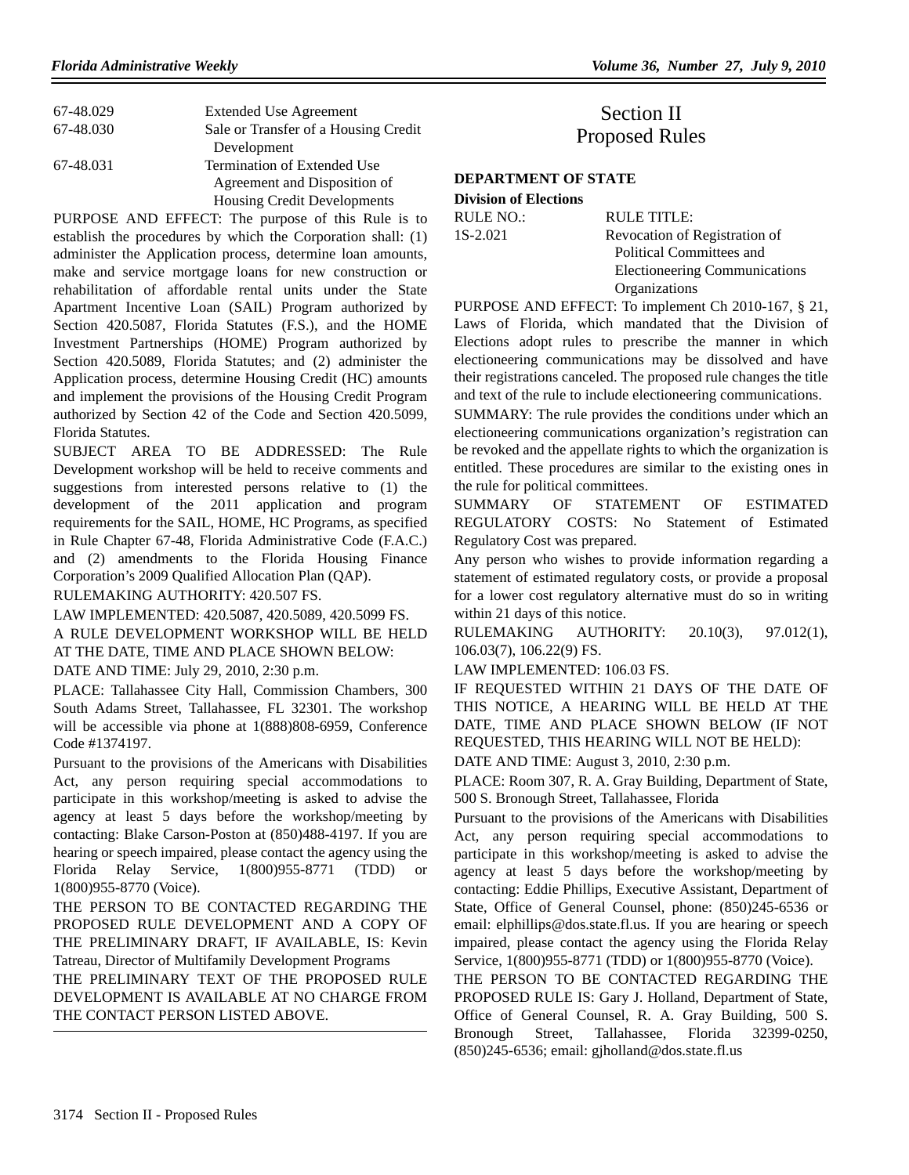| 67-48.029 | <b>Extended Use Agreement</b>        |
|-----------|--------------------------------------|
| 67-48.030 | Sale or Transfer of a Housing Credit |
|           | Development                          |
| 67-48.031 | Termination of Extended Use          |
|           | Agreement and Disposition of         |
|           | <b>Housing Credit Developments</b>   |

PURPOSE AND EFFECT: The purpose of this Rule is to establish the procedures by which the Corporation shall: (1) administer the Application process, determine loan amounts, make and service mortgage loans for new construction or rehabilitation of affordable rental units under the State Apartment Incentive Loan (SAIL) Program authorized by Section 420.5087, Florida Statutes (F.S.), and the HOME Investment Partnerships (HOME) Program authorized by Section 420.5089, Florida Statutes; and (2) administer the Application process, determine Housing Credit (HC) amounts and implement the provisions of the Housing Credit Program authorized by Section 42 of the Code and Section 420.5099, Florida Statutes.

SUBJECT AREA TO BE ADDRESSED: The Rule Development workshop will be held to receive comments and suggestions from interested persons relative to (1) the development of the 2011 application and program requirements for the SAIL, HOME, HC Programs, as specified in Rule Chapter 67-48, Florida Administrative Code (F.A.C.) and (2) amendments to the Florida Housing Finance Corporation's 2009 Qualified Allocation Plan (QAP).

RULEMAKING AUTHORITY: 420.507 FS.

LAW IMPLEMENTED: 420.5087, 420.5089, 420.5099 FS.

A RULE DEVELOPMENT WORKSHOP WILL BE HELD AT THE DATE, TIME AND PLACE SHOWN BELOW:

DATE AND TIME: July 29, 2010, 2:30 p.m.

PLACE: Tallahassee City Hall, Commission Chambers, 300 South Adams Street, Tallahassee, FL 32301. The workshop will be accessible via phone at 1(888)808-6959, Conference Code #1374197.

Pursuant to the provisions of the Americans with Disabilities Act, any person requiring special accommodations to participate in this workshop/meeting is asked to advise the agency at least 5 days before the workshop/meeting by contacting: Blake Carson-Poston at (850)488-4197. If you are hearing or speech impaired, please contact the agency using the Florida Relay Service, 1(800)955-8771 (TDD) or 1(800)955-8770 (Voice).

THE PERSON TO BE CONTACTED REGARDING THE PROPOSED RULE DEVELOPMENT AND A COPY OF THE PRELIMINARY DRAFT, IF AVAILABLE, IS: Kevin Tatreau, Director of Multifamily Development Programs

THE PRELIMINARY TEXT OF THE PROPOSED RULE DEVELOPMENT IS AVAILABLE AT NO CHARGE FROM THE CONTACT PERSON LISTED ABOVE.

# Section II Proposed Rules

## **DEPARTMENT OF STATE**

**Division of Elections** RULE NO.: RULE TITLE:

1S-2.021 Revocation of Registration of Political Committees and Electioneering Communications Organizations

PURPOSE AND EFFECT: To implement Ch 2010-167, § 21, Laws of Florida, which mandated that the Division of Elections adopt rules to prescribe the manner in which electioneering communications may be dissolved and have their registrations canceled. The proposed rule changes the title and text of the rule to include electioneering communications.

SUMMARY: The rule provides the conditions under which an electioneering communications organization's registration can be revoked and the appellate rights to which the organization is entitled. These procedures are similar to the existing ones in the rule for political committees.

SUMMARY OF STATEMENT OF ESTIMATED REGULATORY COSTS: No Statement of Estimated Regulatory Cost was prepared.

Any person who wishes to provide information regarding a statement of estimated regulatory costs, or provide a proposal for a lower cost regulatory alternative must do so in writing within 21 days of this notice.

RULEMAKING AUTHORITY: 20.10(3), 97.012(1), 106.03(7), 106.22(9) FS.

LAW IMPLEMENTED: 106.03 FS.

IF REQUESTED WITHIN 21 DAYS OF THE DATE OF THIS NOTICE, A HEARING WILL BE HELD AT THE DATE, TIME AND PLACE SHOWN BELOW (IF NOT REQUESTED, THIS HEARING WILL NOT BE HELD):

DATE AND TIME: August 3, 2010, 2:30 p.m.

PLACE: Room 307, R. A. Gray Building, Department of State, 500 S. Bronough Street, Tallahassee, Florida

Pursuant to the provisions of the Americans with Disabilities Act, any person requiring special accommodations to participate in this workshop/meeting is asked to advise the agency at least 5 days before the workshop/meeting by contacting: Eddie Phillips, Executive Assistant, Department of State, Office of General Counsel, phone: (850)245-6536 or email: elphillips@dos.state.fl.us. If you are hearing or speech impaired, please contact the agency using the Florida Relay Service, 1(800)955-8771 (TDD) or 1(800)955-8770 (Voice).

THE PERSON TO BE CONTACTED REGARDING THE PROPOSED RULE IS: Gary J. Holland, Department of State, Office of General Counsel, R. A. Gray Building, 500 S. Bronough Street, Tallahassee, Florida 32399-0250, (850)245-6536; email: gjholland@dos.state.fl.us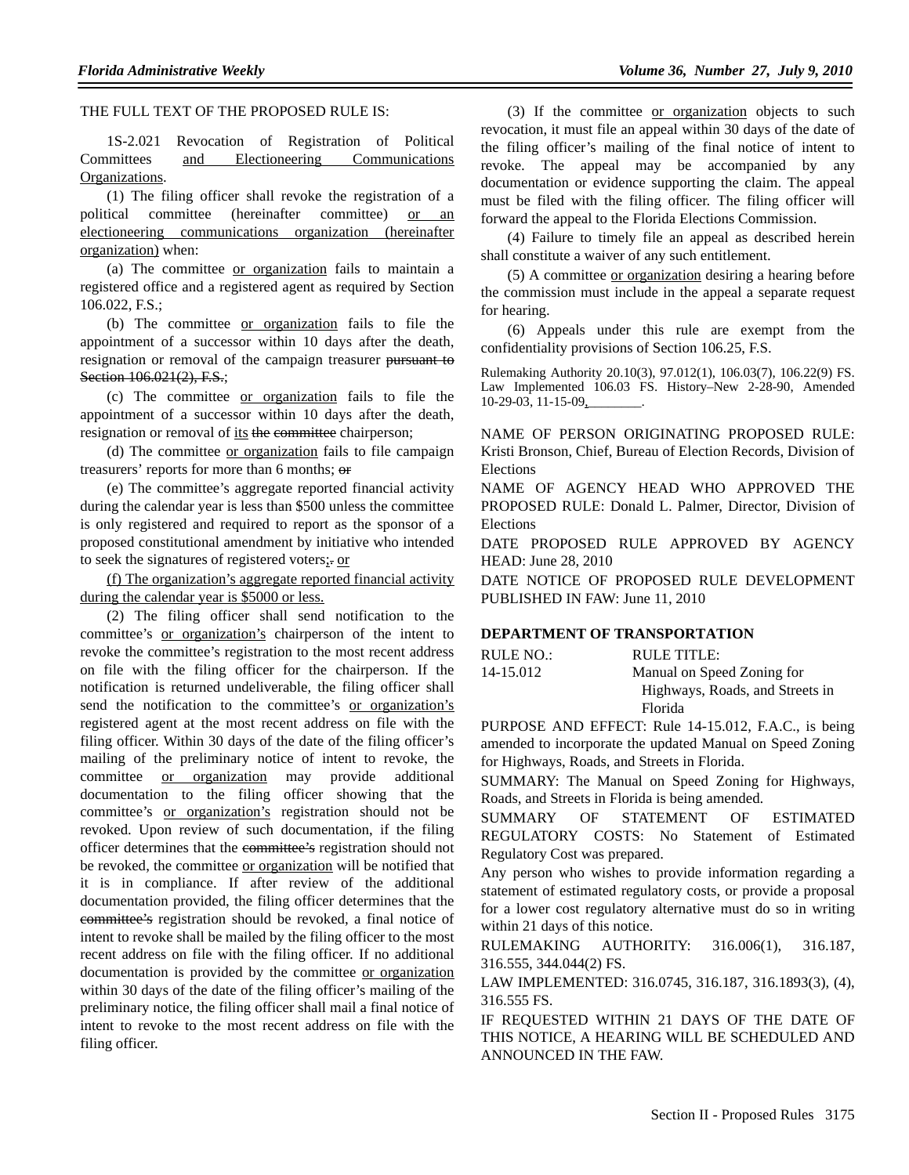THE FULL TEXT OF THE PROPOSED RULE IS:

1S-2.021 Revocation of Registration of Political Committees and Electioneering Communications Organizations.

(1) The filing officer shall revoke the registration of a political committee (hereinafter committee) or an electioneering communications organization (hereinafter organization) when:

(a) The committee or organization fails to maintain a registered office and a registered agent as required by Section 106.022, F.S.;

(b) The committee or organization fails to file the appointment of a successor within 10 days after the death, resignation or removal of the campaign treasurer pursuant to Section 106.021(2), F.S.;

(c) The committee or organization fails to file the appointment of a successor within 10 days after the death, resignation or removal of its the committee chairperson;

(d) The committee or organization fails to file campaign treasurers' reports for more than 6 months; or

(e) The committee's aggregate reported financial activity during the calendar year is less than \$500 unless the committee is only registered and required to report as the sponsor of a proposed constitutional amendment by initiative who intended to seek the signatures of registered voters;. or

(f) The organization's aggregate reported financial activity during the calendar year is \$5000 or less.

(2) The filing officer shall send notification to the committee's or organization's chairperson of the intent to revoke the committee's registration to the most recent address on file with the filing officer for the chairperson. If the notification is returned undeliverable, the filing officer shall send the notification to the committee's or organization's registered agent at the most recent address on file with the filing officer. Within 30 days of the date of the filing officer's mailing of the preliminary notice of intent to revoke, the committee or organization may provide additional documentation to the filing officer showing that the committee's or organization's registration should not be revoked. Upon review of such documentation, if the filing officer determines that the committee's registration should not be revoked, the committee or organization will be notified that it is in compliance. If after review of the additional documentation provided, the filing officer determines that the committee's registration should be revoked, a final notice of intent to revoke shall be mailed by the filing officer to the most recent address on file with the filing officer. If no additional documentation is provided by the committee or organization within 30 days of the date of the filing officer's mailing of the preliminary notice, the filing officer shall mail a final notice of intent to revoke to the most recent address on file with the filing officer.

(3) If the committee or organization objects to such revocation, it must file an appeal within 30 days of the date of the filing officer's mailing of the final notice of intent to revoke. The appeal may be accompanied by any documentation or evidence supporting the claim. The appeal must be filed with the filing officer. The filing officer will forward the appeal to the Florida Elections Commission.

(4) Failure to timely file an appeal as described herein shall constitute a waiver of any such entitlement.

(5) A committee or organization desiring a hearing before the commission must include in the appeal a separate request for hearing.

(6) Appeals under this rule are exempt from the confidentiality provisions of Section 106.25, F.S.

Rulemaking Authority 20.10(3), 97.012(1), 106.03(7), 106.22(9) FS. Law Implemented 106.03 FS. History–New 2-28-90, Amended 10-29-03, 11-15-09,\_\_\_\_\_\_\_\_.

NAME OF PERSON ORIGINATING PROPOSED RULE: Kristi Bronson, Chief, Bureau of Election Records, Division of Elections

NAME OF AGENCY HEAD WHO APPROVED THE PROPOSED RULE: Donald L. Palmer, Director, Division of Elections

DATE PROPOSED RULE APPROVED BY AGENCY HEAD: June 28, 2010

DATE NOTICE OF PROPOSED RULE DEVELOPMENT PUBLISHED IN FAW: June 11, 2010

#### **DEPARTMENT OF TRANSPORTATION**

| RULE NO.: | RULE TITLE:                     |
|-----------|---------------------------------|
| 14-15.012 | Manual on Speed Zoning for      |
|           | Highways, Roads, and Streets in |
|           | Florida                         |

PURPOSE AND EFFECT: Rule 14-15.012, F.A.C., is being amended to incorporate the updated Manual on Speed Zoning for Highways, Roads, and Streets in Florida.

SUMMARY: The Manual on Speed Zoning for Highways, Roads, and Streets in Florida is being amended.

SUMMARY OF STATEMENT OF ESTIMATED REGULATORY COSTS: No Statement of Estimated Regulatory Cost was prepared.

Any person who wishes to provide information regarding a statement of estimated regulatory costs, or provide a proposal for a lower cost regulatory alternative must do so in writing within 21 days of this notice.

RULEMAKING AUTHORITY: 316.006(1), 316.187, 316.555, 344.044(2) FS.

LAW IMPLEMENTED: 316.0745, 316.187, 316.1893(3), (4), 316.555 FS.

IF REQUESTED WITHIN 21 DAYS OF THE DATE OF THIS NOTICE, A HEARING WILL BE SCHEDULED AND ANNOUNCED IN THE FAW.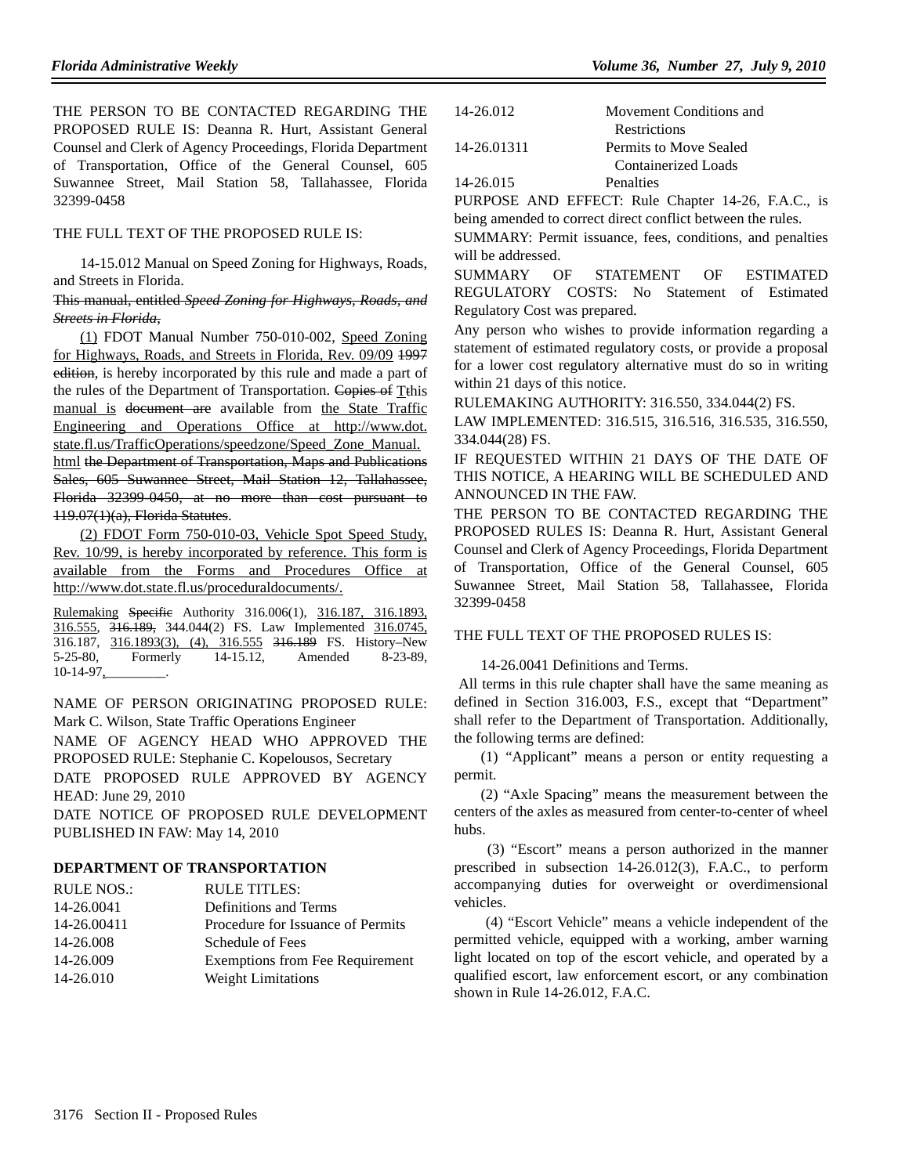THE PERSON TO BE CONTACTED REGARDING THE PROPOSED RULE IS: Deanna R. Hurt, Assistant General Counsel and Clerk of Agency Proceedings, Florida Department of Transportation, Office of the General Counsel, 605 Suwannee Street, Mail Station 58, Tallahassee, Florida 32399-0458

## THE FULL TEXT OF THE PROPOSED RULE IS:

14-15.012 Manual on Speed Zoning for Highways, Roads, and Streets in Florida.

#### This manual, entitled *Speed Zoning for Highways, Roads, and Streets in Florida*,

(1) FDOT Manual Number 750-010-002, Speed Zoning for Highways, Roads, and Streets in Florida, Rev. 09/09 1997 edition, is hereby incorporated by this rule and made a part of the rules of the Department of Transportation. Copies of Tthis manual is document are available from the State Traffic Engineering and Operations Office at http://www.dot. state.fl.us/TrafficOperations/speedzone/Speed\_Zone\_Manual. html the Department of Transportation, Maps and Publications

Sales, 605 Suwannee Street, Mail Station 12, Tallahassee, Florida 32399-0450, at no more than cost pursuant to 119.07(1)(a), Florida Statutes.

(2) FDOT Form 750-010-03, Vehicle Spot Speed Study, Rev. 10/99, is hereby incorporated by reference. This form is available from the Forms and Procedures Office at http://www.dot.state.fl.us/proceduraldocuments/.

Rulemaking Specific Authority 316.006(1), 316.187, 316.1893, 316.555, 316.189, 344.044(2) FS. Law Implemented 316.0745, 316.187, 316.1893(3), (4), 316.555 316.189 FS. History–New 5-25-80, Formerly 14-15.12, Amended 8-23-89, 10-14-97,\_\_\_\_\_\_\_\_\_.

NAME OF PERSON ORIGINATING PROPOSED RULE: Mark C. Wilson, State Traffic Operations Engineer

NAME OF AGENCY HEAD WHO APPROVED THE PROPOSED RULE: Stephanie C. Kopelousos, Secretary

DATE PROPOSED RULE APPROVED BY AGENCY HEAD: June 29, 2010

DATE NOTICE OF PROPOSED RULE DEVELOPMENT PUBLISHED IN FAW: May 14, 2010

## **DEPARTMENT OF TRANSPORTATION**

| <b>RULE NOS.:</b> | <b>RULE TITLES:</b>               |
|-------------------|-----------------------------------|
| 14-26.0041        | Definitions and Terms             |
| 14-26.00411       | Procedure for Issuance of Permits |
| 14-26.008         | Schedule of Fees                  |
| 14-26.009         | Exemptions from Fee Requirement   |
| 14-26.010         | Weight Limitations                |
|                   |                                   |

| 14-26.012   | Movement Conditions and |
|-------------|-------------------------|
|             | <b>Restrictions</b>     |
| 14-26.01311 | Permits to Move Sealed  |
|             | Containerized Loads     |
| 14-26.015   | Penalties               |
|             |                         |

PURPOSE AND EFFECT: Rule Chapter 14-26, F.A.C., is being amended to correct direct conflict between the rules.

SUMMARY: Permit issuance, fees, conditions, and penalties will be addressed.

SUMMARY OF STATEMENT OF ESTIMATED REGULATORY COSTS: No Statement of Estimated Regulatory Cost was prepared.

Any person who wishes to provide information regarding a statement of estimated regulatory costs, or provide a proposal for a lower cost regulatory alternative must do so in writing within 21 days of this notice.

RULEMAKING AUTHORITY: 316.550, 334.044(2) FS.

LAW IMPLEMENTED: 316.515, 316.516, 316.535, 316.550, 334.044(28) FS.

IF REQUESTED WITHIN 21 DAYS OF THE DATE OF THIS NOTICE, A HEARING WILL BE SCHEDULED AND ANNOUNCED IN THE FAW.

THE PERSON TO BE CONTACTED REGARDING THE PROPOSED RULES IS: Deanna R. Hurt, Assistant General Counsel and Clerk of Agency Proceedings, Florida Department of Transportation, Office of the General Counsel, 605 Suwannee Street, Mail Station 58, Tallahassee, Florida 32399-0458

## THE FULL TEXT OF THE PROPOSED RULES IS:

14-26.0041 Definitions and Terms.

 All terms in this rule chapter shall have the same meaning as defined in Section 316.003, F.S., except that "Department" shall refer to the Department of Transportation. Additionally, the following terms are defined:

(1) "Applicant" means a person or entity requesting a permit.

(2) "Axle Spacing" means the measurement between the centers of the axles as measured from center-to-center of wheel hubs.

 (3) "Escort" means a person authorized in the manner prescribed in subsection 14-26.012(3), F.A.C., to perform accompanying duties for overweight or overdimensional vehicles.

 (4) "Escort Vehicle" means a vehicle independent of the permitted vehicle, equipped with a working, amber warning light located on top of the escort vehicle, and operated by a qualified escort, law enforcement escort, or any combination shown in Rule 14-26.012, F.A.C.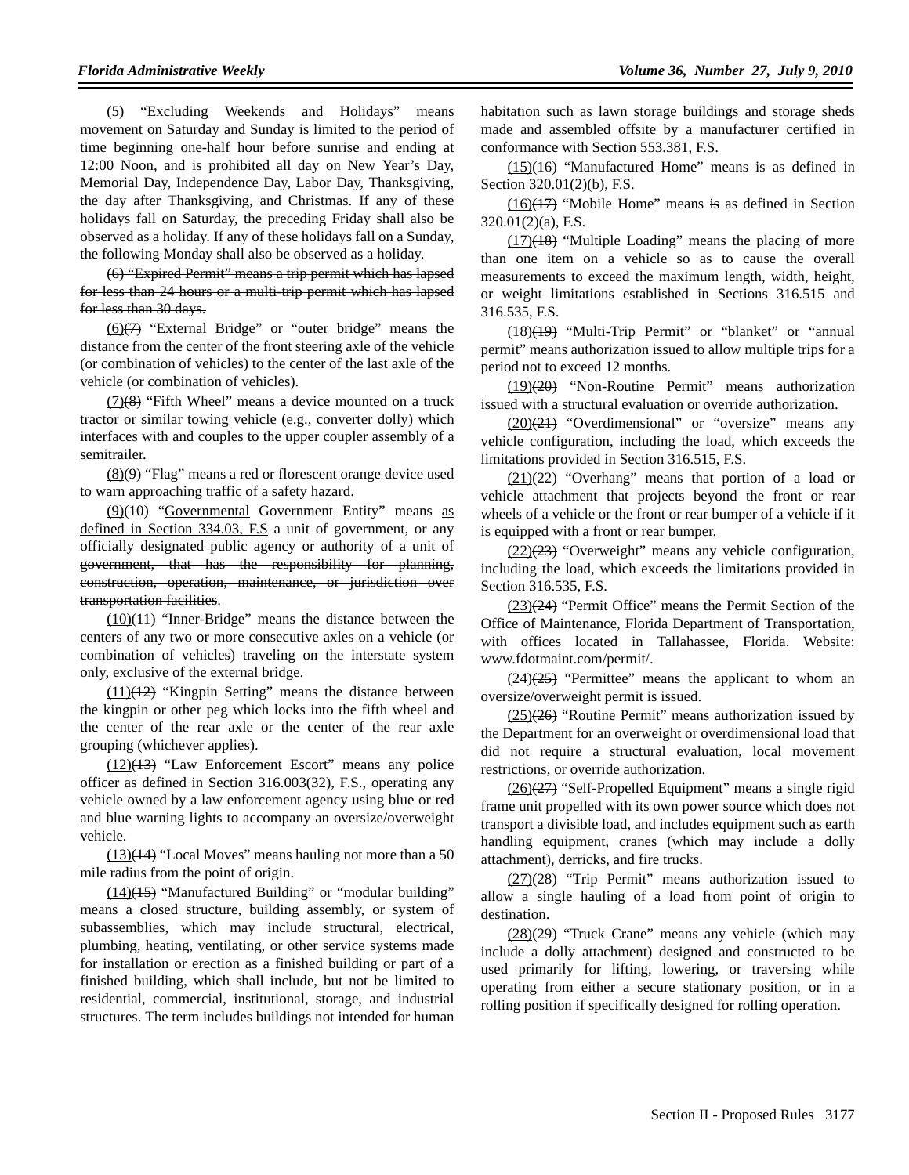(5) "Excluding Weekends and Holidays" means movement on Saturday and Sunday is limited to the period of time beginning one-half hour before sunrise and ending at 12:00 Noon, and is prohibited all day on New Year's Day, Memorial Day, Independence Day, Labor Day, Thanksgiving, the day after Thanksgiving, and Christmas. If any of these holidays fall on Saturday, the preceding Friday shall also be observed as a holiday. If any of these holidays fall on a Sunday, the following Monday shall also be observed as a holiday.

(6) "Expired Permit" means a trip permit which has lapsed for less than 24 hours or a multi-trip permit which has lapsed for less than 30 days.

(6)(7) "External Bridge" or "outer bridge" means the distance from the center of the front steering axle of the vehicle (or combination of vehicles) to the center of the last axle of the vehicle (or combination of vehicles).

 $(7)(8)$  "Fifth Wheel" means a device mounted on a truck tractor or similar towing vehicle (e.g., converter dolly) which interfaces with and couples to the upper coupler assembly of a semitrailer.

(8)(9) "Flag" means a red or florescent orange device used to warn approaching traffic of a safety hazard.

(9)(10) "Governmental Government Entity" means as defined in Section 334.03, F.S a unit of government, or any officially designated public agency or authority of a unit of government, that has the responsibility for planning, construction, operation, maintenance, or jurisdiction over transportation facilities.

 $(10)(11)$  "Inner-Bridge" means the distance between the centers of any two or more consecutive axles on a vehicle (or combination of vehicles) traveling on the interstate system only, exclusive of the external bridge.

(11)(12) "Kingpin Setting" means the distance between the kingpin or other peg which locks into the fifth wheel and the center of the rear axle or the center of the rear axle grouping (whichever applies).

(12)(13) "Law Enforcement Escort" means any police officer as defined in Section 316.003(32), F.S., operating any vehicle owned by a law enforcement agency using blue or red and blue warning lights to accompany an oversize/overweight vehicle.

 $(13)(14)$  "Local Moves" means hauling not more than a 50 mile radius from the point of origin.

 $(14)$ (15) "Manufactured Building" or "modular building" means a closed structure, building assembly, or system of subassemblies, which may include structural, electrical, plumbing, heating, ventilating, or other service systems made for installation or erection as a finished building or part of a finished building, which shall include, but not be limited to residential, commercial, institutional, storage, and industrial structures. The term includes buildings not intended for human habitation such as lawn storage buildings and storage sheds made and assembled offsite by a manufacturer certified in conformance with Section 553.381, F.S.

 $(15)(16)$  "Manufactured Home" means is as defined in Section 320.01(2)(b), F.S.

 $(16)(17)$  "Mobile Home" means is as defined in Section 320.01(2)(a), F.S.

 $(17)(18)$  "Multiple Loading" means the placing of more than one item on a vehicle so as to cause the overall measurements to exceed the maximum length, width, height, or weight limitations established in Sections 316.515 and 316.535, F.S.

(18)(19) "Multi-Trip Permit" or "blanket" or "annual permit" means authorization issued to allow multiple trips for a period not to exceed 12 months.

(19)(20) "Non-Routine Permit" means authorization issued with a structural evaluation or override authorization.

 $(20)(21)$  "Overdimensional" or "oversize" means any vehicle configuration, including the load, which exceeds the limitations provided in Section 316.515, F.S.

 $(21)(22)$  "Overhang" means that portion of a load or vehicle attachment that projects beyond the front or rear wheels of a vehicle or the front or rear bumper of a vehicle if it is equipped with a front or rear bumper.

 $(22)(23)$  "Overweight" means any vehicle configuration, including the load, which exceeds the limitations provided in Section 316.535, F.S.

 $(23)(24)$  "Permit Office" means the Permit Section of the Office of Maintenance, Florida Department of Transportation, with offices located in Tallahassee, Florida. Website: www.fdotmaint.com/permit/.

 $(24)(25)$  "Permittee" means the applicant to whom an oversize/overweight permit is issued.

 $(25)(26)$  "Routine Permit" means authorization issued by the Department for an overweight or overdimensional load that did not require a structural evaluation, local movement restrictions, or override authorization.

(26)(27) "Self-Propelled Equipment" means a single rigid frame unit propelled with its own power source which does not transport a divisible load, and includes equipment such as earth handling equipment, cranes (which may include a dolly attachment), derricks, and fire trucks.

 $(27)(28)$  "Trip Permit" means authorization issued to allow a single hauling of a load from point of origin to destination.

 $(28)(29)$  "Truck Crane" means any vehicle (which may include a dolly attachment) designed and constructed to be used primarily for lifting, lowering, or traversing while operating from either a secure stationary position, or in a rolling position if specifically designed for rolling operation.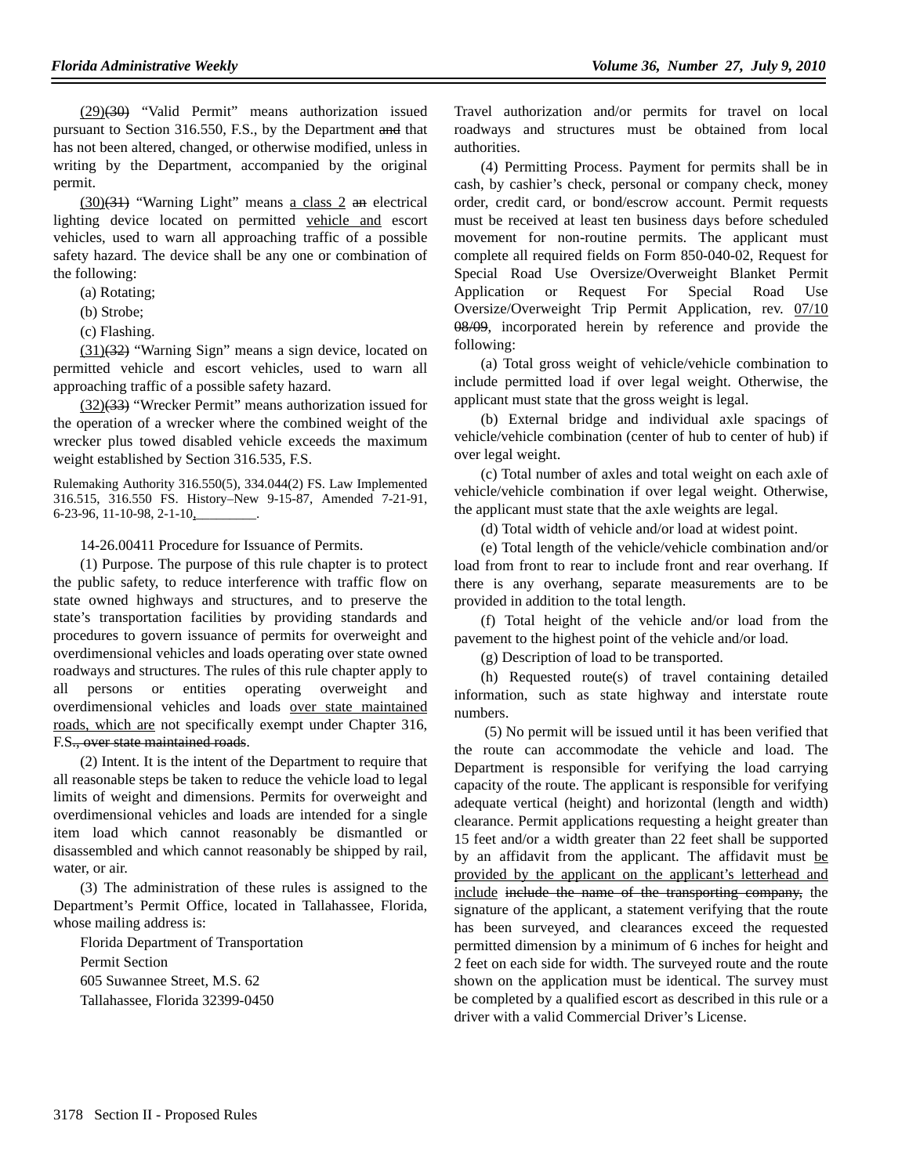$(29)(30)$  "Valid Permit" means authorization issued pursuant to Section 316.550, F.S., by the Department and that has not been altered, changed, or otherwise modified, unless in writing by the Department, accompanied by the original permit.

 $(30)(31)$  "Warning Light" means a class 2 an electrical lighting device located on permitted vehicle and escort vehicles, used to warn all approaching traffic of a possible safety hazard. The device shall be any one or combination of the following:

(a) Rotating;

- (b) Strobe;
- (c) Flashing.

 $(31)(32)$  "Warning Sign" means a sign device, located on permitted vehicle and escort vehicles, used to warn all approaching traffic of a possible safety hazard.

 $(32)(33)$  "Wrecker Permit" means authorization issued for the operation of a wrecker where the combined weight of the wrecker plus towed disabled vehicle exceeds the maximum weight established by Section 316.535, F.S.

Rulemaking Authority 316.550(5), 334.044(2) FS. Law Implemented 316.515, 316.550 FS. History–New 9-15-87, Amended 7-21-91, 6-23-96, 11-10-98, 2-1-10,\_\_\_\_\_\_\_\_\_.

14-26.00411 Procedure for Issuance of Permits.

(1) Purpose. The purpose of this rule chapter is to protect the public safety, to reduce interference with traffic flow on state owned highways and structures, and to preserve the state's transportation facilities by providing standards and procedures to govern issuance of permits for overweight and overdimensional vehicles and loads operating over state owned roadways and structures. The rules of this rule chapter apply to all persons or entities operating overweight and overdimensional vehicles and loads over state maintained roads, which are not specifically exempt under Chapter 316, F.S., over state maintained roads.

(2) Intent. It is the intent of the Department to require that all reasonable steps be taken to reduce the vehicle load to legal limits of weight and dimensions. Permits for overweight and overdimensional vehicles and loads are intended for a single item load which cannot reasonably be dismantled or disassembled and which cannot reasonably be shipped by rail, water, or air.

(3) The administration of these rules is assigned to the Department's Permit Office, located in Tallahassee, Florida, whose mailing address is:

Florida Department of Transportation Permit Section 605 Suwannee Street, M.S. 62 Tallahassee, Florida 32399-0450

Travel authorization and/or permits for travel on local roadways and structures must be obtained from local authorities.

(4) Permitting Process. Payment for permits shall be in cash, by cashier's check, personal or company check, money order, credit card, or bond/escrow account. Permit requests must be received at least ten business days before scheduled movement for non-routine permits. The applicant must complete all required fields on Form 850-040-02, Request for Special Road Use Oversize/Overweight Blanket Permit Application or Request For Special Road Use Oversize/Overweight Trip Permit Application, rev. 07/10 08/09, incorporated herein by reference and provide the following:

(a) Total gross weight of vehicle/vehicle combination to include permitted load if over legal weight. Otherwise, the applicant must state that the gross weight is legal.

(b) External bridge and individual axle spacings of vehicle/vehicle combination (center of hub to center of hub) if over legal weight.

(c) Total number of axles and total weight on each axle of vehicle/vehicle combination if over legal weight. Otherwise, the applicant must state that the axle weights are legal.

(d) Total width of vehicle and/or load at widest point.

(e) Total length of the vehicle/vehicle combination and/or load from front to rear to include front and rear overhang. If there is any overhang, separate measurements are to be provided in addition to the total length.

(f) Total height of the vehicle and/or load from the pavement to the highest point of the vehicle and/or load.

(g) Description of load to be transported.

(h) Requested route(s) of travel containing detailed information, such as state highway and interstate route numbers.

 (5) No permit will be issued until it has been verified that the route can accommodate the vehicle and load. The Department is responsible for verifying the load carrying capacity of the route. The applicant is responsible for verifying adequate vertical (height) and horizontal (length and width) clearance. Permit applications requesting a height greater than 15 feet and/or a width greater than 22 feet shall be supported by an affidavit from the applicant. The affidavit must be provided by the applicant on the applicant's letterhead and include include the name of the transporting company, the signature of the applicant, a statement verifying that the route has been surveyed, and clearances exceed the requested permitted dimension by a minimum of 6 inches for height and 2 feet on each side for width. The surveyed route and the route shown on the application must be identical. The survey must be completed by a qualified escort as described in this rule or a driver with a valid Commercial Driver's License.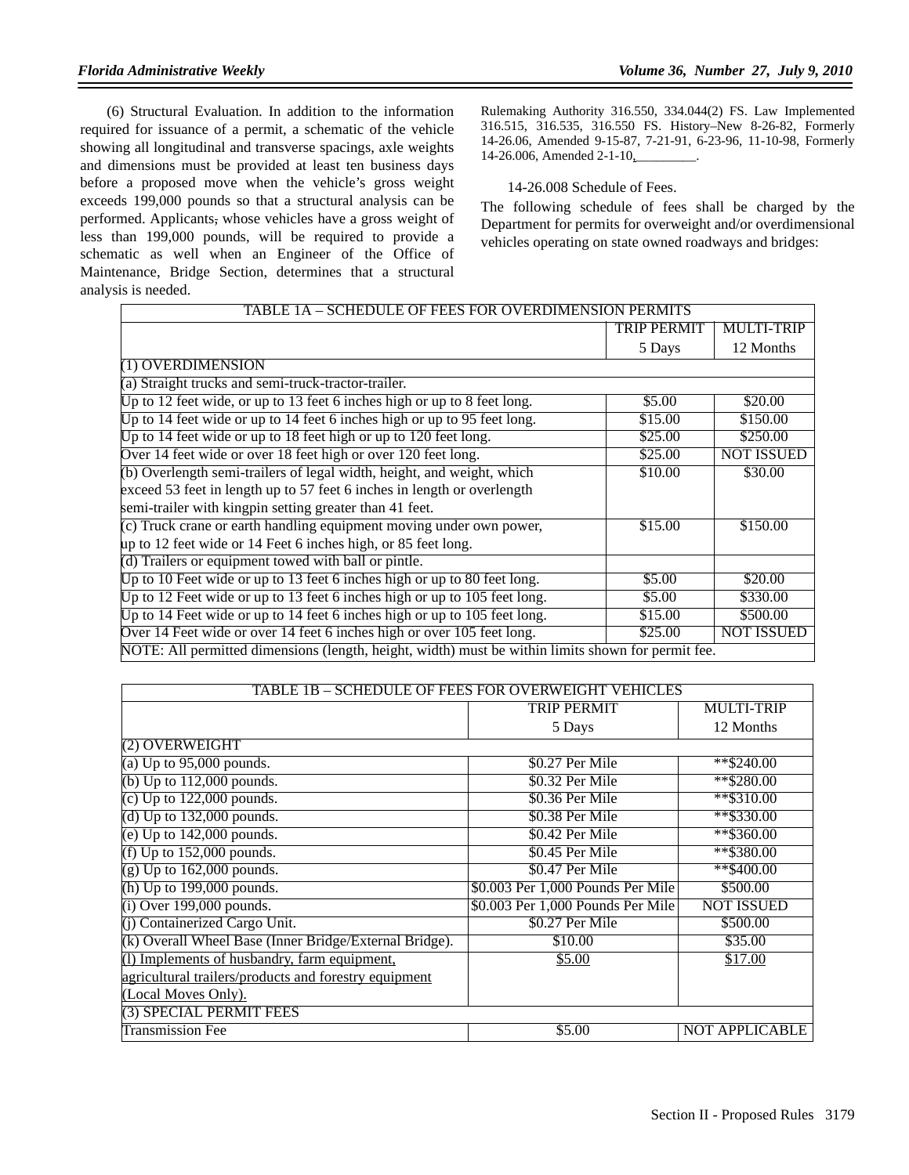(6) Structural Evaluation. In addition to the information required for issuance of a permit, a schematic of the vehicle showing all longitudinal and transverse spacings, axle weights and dimensions must be provided at least ten business days before a proposed move when the vehicle's gross weight exceeds 199,000 pounds so that a structural analysis can be performed. Applicants, whose vehicles have a gross weight of less than 199,000 pounds, will be required to provide a schematic as well when an Engineer of the Office of Maintenance, Bridge Section, determines that a structural analysis is needed.

Rulemaking Authority 316.550, 334.044(2) FS. Law Implemented 316.515, 316.535, 316.550 FS. History–New 8-26-82, Formerly 14-26.06, Amended 9-15-87, 7-21-91, 6-23-96, 11-10-98, Formerly 14-26.006, Amended 2-1-10, \_\_\_\_\_\_\_.

14-26.008 Schedule of Fees.

The following schedule of fees shall be charged by the Department for permits for overweight and/or overdimensional vehicles operating on state owned roadways and bridges:

| TABLE 1A – SCHEDULE OF FEES FOR OVERDIMENSION PERMITS                                              |                    |                   |
|----------------------------------------------------------------------------------------------------|--------------------|-------------------|
|                                                                                                    | <b>TRIP PERMIT</b> | <b>MULTI-TRIP</b> |
|                                                                                                    | 5 Days             | 12 Months         |
| (1) OVERDIMENSION                                                                                  |                    |                   |
| (a) Straight trucks and semi-truck-tractor-trailer.                                                |                    |                   |
| Up to 12 feet wide, or up to 13 feet 6 inches high or up to 8 feet long.                           | \$5.00             | \$20.00           |
| Up to 14 feet wide or up to 14 feet 6 inches high or up to 95 feet long.                           | \$15.00            | \$150.00          |
| Up to 14 feet wide or up to 18 feet high or up to 120 feet long.                                   | \$25.00            | \$250.00          |
| Over 14 feet wide or over 18 feet high or over 120 feet long.                                      | \$25.00            | <b>NOT ISSUED</b> |
| (b) Overlength semi-trailers of legal width, height, and weight, which                             | \$10.00            | \$30.00           |
| exceed 53 feet in length up to 57 feet 6 inches in length or overlength                            |                    |                   |
| semi-trailer with kingpin setting greater than 41 feet.                                            |                    |                   |
| (c) Truck crane or earth handling equipment moving under own power,                                | \$15.00            | \$150.00          |
| up to 12 feet wide or 14 Feet 6 inches high, or 85 feet long.                                      |                    |                   |
| (d) Trailers or equipment towed with ball or pintle.                                               |                    |                   |
| Up to 10 Feet wide or up to 13 feet 6 inches high or up to 80 feet long.                           | \$5.00             | \$20.00           |
| Up to 12 Feet wide or up to 13 feet 6 inches high or up to 105 feet long.                          | \$5.00             | \$330.00          |
| Up to 14 Feet wide or up to 14 feet 6 inches high or up to 105 feet long.                          | \$15.00            | \$500.00          |
| Over 14 Feet wide or over 14 feet 6 inches high or over 105 feet long.                             | \$25.00            | <b>NOT ISSUED</b> |
| NOTE: All permitted dimensions (length, height, width) must be within limits shown for permit fee. |                    |                   |

| TABLE 1B - SCHEDULE OF FEES FOR OVERWEIGHT VEHICLES    |                                   |                       |
|--------------------------------------------------------|-----------------------------------|-----------------------|
|                                                        | <b>TRIP PERMIT</b>                | <b>MULTI-TRIP</b>     |
|                                                        | 5 Days                            | 12 Months             |
| (2) OVERWEIGHT                                         |                                   |                       |
| (a) Up to $95,000$ pounds.                             | \$0.27 Per Mile                   | $*$ \$240.00          |
| (b) Up to $112,000$ pounds.                            | \$0.32 Per Mile                   | $*$ \$280.00          |
| (c) Up to $122,000$ pounds.                            | \$0.36 Per Mile                   | $*$ \$310.00          |
| (d) Up to $132,000$ pounds.                            | \$0.38 Per Mile                   | $*$ \$330.00          |
| (e) Up to $142,000$ pounds.                            | \$0.42 Per Mile                   | $*$ \$360.00          |
| (f) Up to $152,000$ pounds.                            | \$0.45 Per Mile                   | **\$380.00            |
| $(g)$ Up to 162,000 pounds.                            | \$0.47 Per Mile                   | $*$ \$400.00          |
| (h) Up to $199,000$ pounds.                            | \$0.003 Per 1,000 Pounds Per Mile | \$500.00              |
| $(i)$ Over 199,000 pounds.                             | \$0.003 Per 1,000 Pounds Per Mile | <b>NOT ISSUED</b>     |
| (j) Containerized Cargo Unit.                          | \$0.27 Per Mile                   | \$500.00              |
| (k) Overall Wheel Base (Inner Bridge/External Bridge). | \$10.00                           | \$35.00               |
| (I) Implements of husbandry, farm equipment,           | \$5.00                            | \$17.00               |
| agricultural trailers/products and forestry equipment  |                                   |                       |
| (Local Moves Only).                                    |                                   |                       |
| (3) SPECIAL PERMIT FEES                                |                                   |                       |
| Transmission Fee                                       | \$5.00                            | <b>NOT APPLICABLE</b> |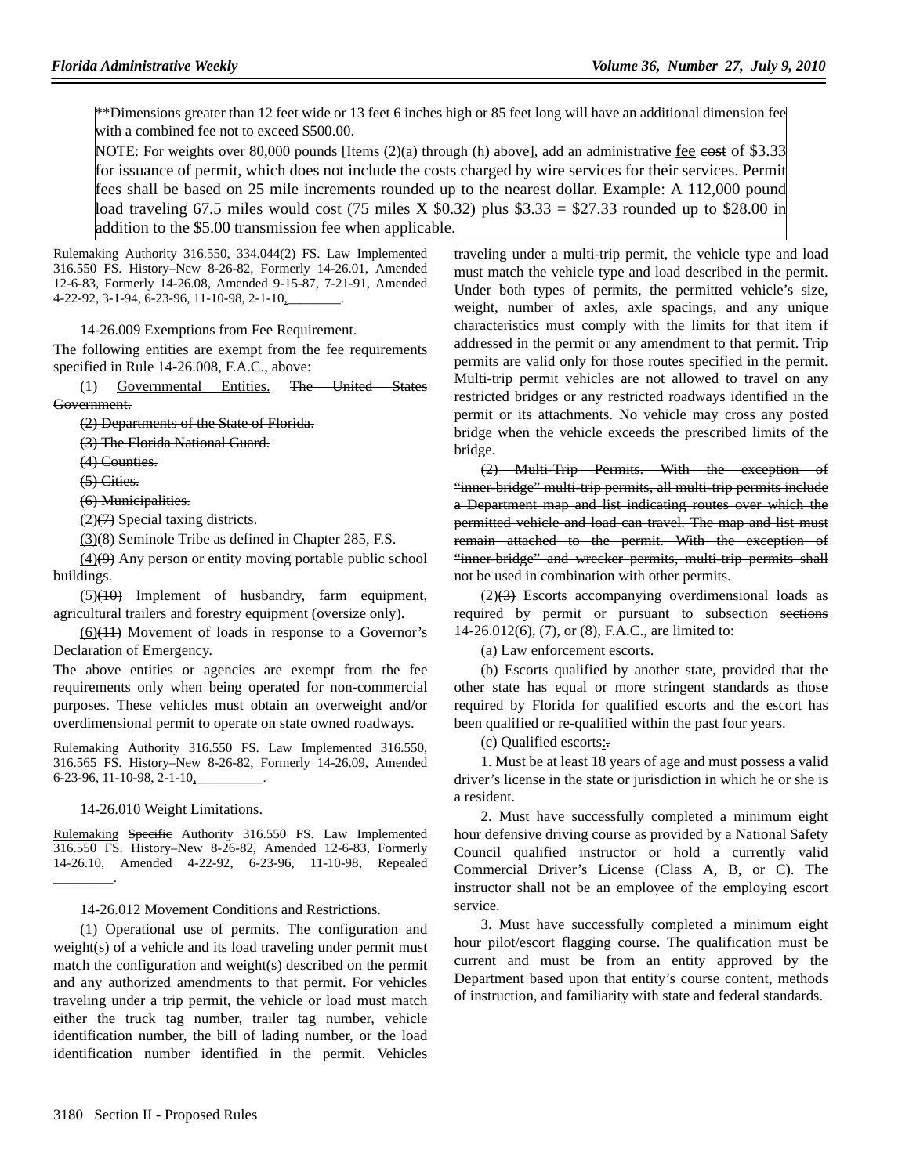\*\*Dimensions greater than 12 feet wide or 13 feet 6 inches high or 85 feet long will have an additional dimension fee with a combined fee not to exceed \$500.00.

NOTE: For weights over 80,000 pounds [Items (2)(a) through (h) above], add an administrative fee eost of \$3.33 for issuance of permit, which does not include the costs charged by wire services for their services. Permit fees shall be based on 25 mile increments rounded up to the nearest dollar. Example: A 112,000 pound load traveling 67.5 miles would cost (75 miles X  $$0.32)$  plus  $$3.33 = $27.33$  rounded up to \$28.00 in addition to the \$5.00 transmission fee when applicable.

Rulemaking Authority 316.550, 334.044(2) FS. Law Implemented 316.550 FS. History–New 8-26-82, Formerly 14-26.01, Amended 12-6-83, Formerly 14-26.08, Amended 9-15-87, 7-21-91, Amended 4-22-92, 3-1-94, 6-23-96, 11-10-98, 2-1-10,\_\_\_\_\_\_\_\_.

14-26.009 Exemptions from Fee Requirement.

The following entities are exempt from the fee requirements specified in Rule 14-26.008, F.A.C., above:

(1) Governmental Entities. The United States Government.

(2) Departments of the State of Florida.

(3) The Florida National Guard.

(4) Counties.

(5) Cities.

#### (6) Municipalities.

 $(2)(7)$  Special taxing districts.

(3)(8) Seminole Tribe as defined in Chapter 285, F.S.

 $(4)$ (9) Any person or entity moving portable public school buildings.

 $(5)(10)$  Implement of husbandry, farm equipment, agricultural trailers and forestry equipment (oversize only).

 $(6)(11)$  Movement of loads in response to a Governor's Declaration of Emergency.

The above entities or agencies are exempt from the fee requirements only when being operated for non-commercial purposes. These vehicles must obtain an overweight and/or overdimensional permit to operate on state owned roadways.

Rulemaking Authority 316.550 FS. Law Implemented 316.550, 316.565 FS. History–New 8-26-82, Formerly 14-26.09, Amended 6-23-96, 11-10-98, 2-1-10,

#### 14-26.010 Weight Limitations.

Rulemaking Specific Authority 316.550 FS. Law Implemented 316.550 FS. History–New 8-26-82, Amended 12-6-83, Formerly 14-26.10, Amended 4-22-92, 6-23-96, 11-10-98, Repealed \_\_\_\_\_\_\_\_\_.

#### 14-26.012 Movement Conditions and Restrictions.

(1) Operational use of permits. The configuration and weight(s) of a vehicle and its load traveling under permit must match the configuration and weight(s) described on the permit and any authorized amendments to that permit. For vehicles traveling under a trip permit, the vehicle or load must match either the truck tag number, trailer tag number, vehicle identification number, the bill of lading number, or the load identification number identified in the permit. Vehicles

traveling under a multi-trip permit, the vehicle type and load must match the vehicle type and load described in the permit. Under both types of permits, the permitted vehicle's size, weight, number of axles, axle spacings, and any unique characteristics must comply with the limits for that item if addressed in the permit or any amendment to that permit. Trip permits are valid only for those routes specified in the permit. Multi-trip permit vehicles are not allowed to travel on any restricted bridges or any restricted roadways identified in the permit or its attachments. No vehicle may cross any posted bridge when the vehicle exceeds the prescribed limits of the bridge.

(2) Multi-Trip Permits. With the exception of "inner bridge" multi-trip permits, all multi-trip permits include a Department map and list indicating routes over which the permitted vehicle and load can travel. The map and list must remain attached to the permit. With the exception of "inner bridge" and wrecker permits, multi-trip permits shall not be used in combination with other permits.

 $(2)(3)$  Escorts accompanying overdimensional loads as required by permit or pursuant to subsection sections 14-26.012(6), (7), or (8), F.A.C., are limited to:

(a) Law enforcement escorts.

(b) Escorts qualified by another state, provided that the other state has equal or more stringent standards as those required by Florida for qualified escorts and the escort has been qualified or re-qualified within the past four years.

(c) Qualified escorts:.

1. Must be at least 18 years of age and must possess a valid driver's license in the state or jurisdiction in which he or she is a resident.

2. Must have successfully completed a minimum eight hour defensive driving course as provided by a National Safety Council qualified instructor or hold a currently valid Commercial Driver's License (Class A, B, or C). The instructor shall not be an employee of the employing escort service.

3. Must have successfully completed a minimum eight hour pilot/escort flagging course. The qualification must be current and must be from an entity approved by the Department based upon that entity's course content, methods of instruction, and familiarity with state and federal standards.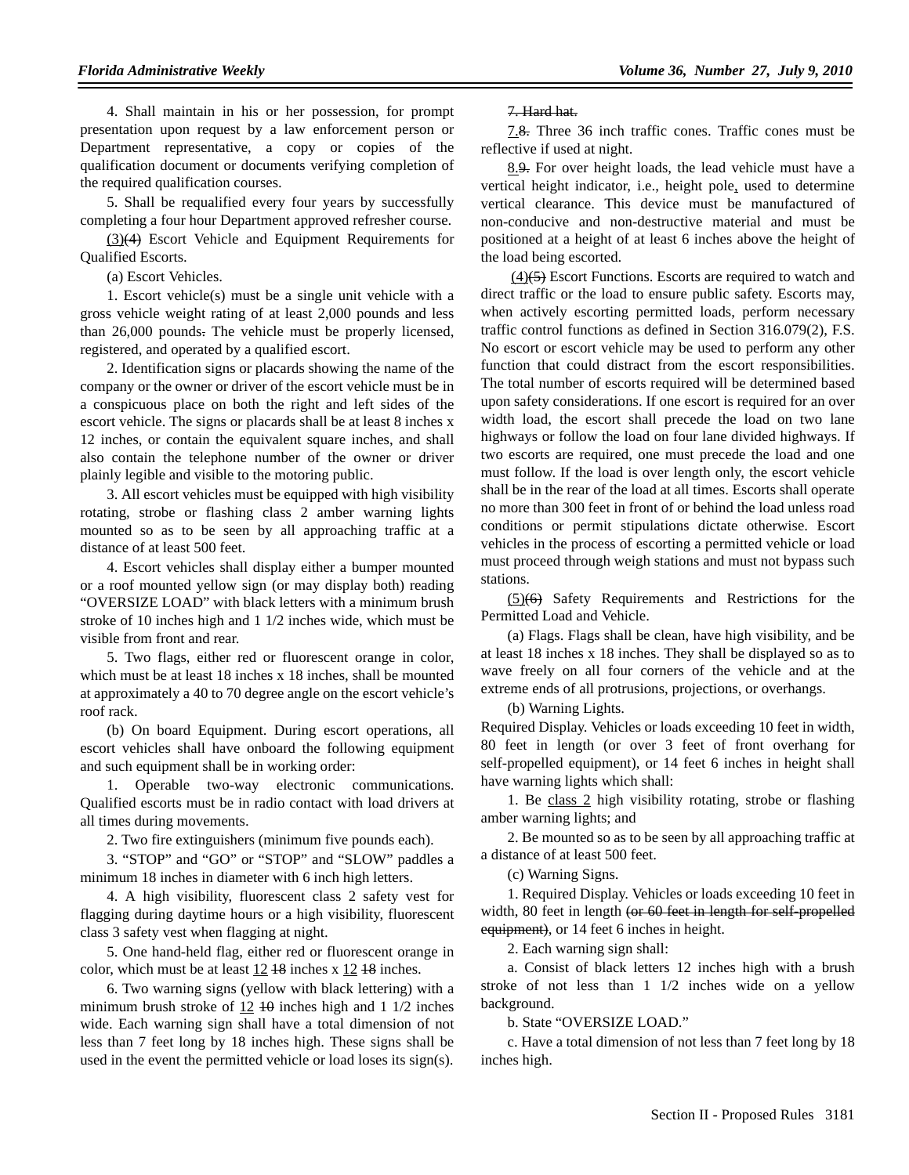4. Shall maintain in his or her possession, for prompt presentation upon request by a law enforcement person or Department representative, a copy or copies of the qualification document or documents verifying completion of the required qualification courses.

5. Shall be requalified every four years by successfully completing a four hour Department approved refresher course.

(3)(4) Escort Vehicle and Equipment Requirements for Qualified Escorts.

(a) Escort Vehicles.

1. Escort vehicle(s) must be a single unit vehicle with a gross vehicle weight rating of at least 2,000 pounds and less than 26,000 pounds. The vehicle must be properly licensed, registered, and operated by a qualified escort.

2. Identification signs or placards showing the name of the company or the owner or driver of the escort vehicle must be in a conspicuous place on both the right and left sides of the escort vehicle. The signs or placards shall be at least 8 inches x 12 inches, or contain the equivalent square inches, and shall also contain the telephone number of the owner or driver plainly legible and visible to the motoring public.

3. All escort vehicles must be equipped with high visibility rotating, strobe or flashing class 2 amber warning lights mounted so as to be seen by all approaching traffic at a distance of at least 500 feet.

4. Escort vehicles shall display either a bumper mounted or a roof mounted yellow sign (or may display both) reading "OVERSIZE LOAD" with black letters with a minimum brush stroke of 10 inches high and 1 1/2 inches wide, which must be visible from front and rear.

5. Two flags, either red or fluorescent orange in color, which must be at least 18 inches x 18 inches, shall be mounted at approximately a 40 to 70 degree angle on the escort vehicle's roof rack.

(b) On board Equipment. During escort operations, all escort vehicles shall have onboard the following equipment and such equipment shall be in working order:

1. Operable two-way electronic communications. Qualified escorts must be in radio contact with load drivers at all times during movements.

2. Two fire extinguishers (minimum five pounds each).

3. "STOP" and "GO" or "STOP" and "SLOW" paddles a minimum 18 inches in diameter with 6 inch high letters.

4. A high visibility, fluorescent class 2 safety vest for flagging during daytime hours or a high visibility, fluorescent class 3 safety vest when flagging at night.

5. One hand-held flag, either red or fluorescent orange in color, which must be at least  $12 \frac{18}{16}$  inches.

6. Two warning signs (yellow with black lettering) with a minimum brush stroke of  $12 \text{ } 10$  inches high and  $1 \frac{1}{2}$  inches wide. Each warning sign shall have a total dimension of not less than 7 feet long by 18 inches high. These signs shall be used in the event the permitted vehicle or load loses its sign(s).

#### 7. Hard hat.

7.8. Three 36 inch traffic cones. Traffic cones must be reflective if used at night.

8.9. For over height loads, the lead vehicle must have a vertical height indicator, i.e., height pole, used to determine vertical clearance. This device must be manufactured of non-conducive and non-destructive material and must be positioned at a height of at least 6 inches above the height of the load being escorted.

 (4)(5) Escort Functions. Escorts are required to watch and direct traffic or the load to ensure public safety. Escorts may, when actively escorting permitted loads, perform necessary traffic control functions as defined in Section 316.079(2), F.S. No escort or escort vehicle may be used to perform any other function that could distract from the escort responsibilities. The total number of escorts required will be determined based upon safety considerations. If one escort is required for an over width load, the escort shall precede the load on two lane highways or follow the load on four lane divided highways. If two escorts are required, one must precede the load and one must follow. If the load is over length only, the escort vehicle shall be in the rear of the load at all times. Escorts shall operate no more than 300 feet in front of or behind the load unless road conditions or permit stipulations dictate otherwise. Escort vehicles in the process of escorting a permitted vehicle or load must proceed through weigh stations and must not bypass such stations.

(5)(6) Safety Requirements and Restrictions for the Permitted Load and Vehicle.

(a) Flags. Flags shall be clean, have high visibility, and be at least 18 inches x 18 inches. They shall be displayed so as to wave freely on all four corners of the vehicle and at the extreme ends of all protrusions, projections, or overhangs.

(b) Warning Lights.

Required Display. Vehicles or loads exceeding 10 feet in width, 80 feet in length (or over 3 feet of front overhang for self-propelled equipment), or 14 feet 6 inches in height shall have warning lights which shall:

1. Be class 2 high visibility rotating, strobe or flashing amber warning lights; and

2. Be mounted so as to be seen by all approaching traffic at a distance of at least 500 feet.

(c) Warning Signs.

1. Required Display. Vehicles or loads exceeding 10 feet in width, 80 feet in length (or 60 feet in length for self-propelled equipment), or 14 feet 6 inches in height.

2. Each warning sign shall:

a. Consist of black letters 12 inches high with a brush stroke of not less than 1 1/2 inches wide on a yellow background.

b. State "OVERSIZE LOAD."

c. Have a total dimension of not less than 7 feet long by 18 inches high.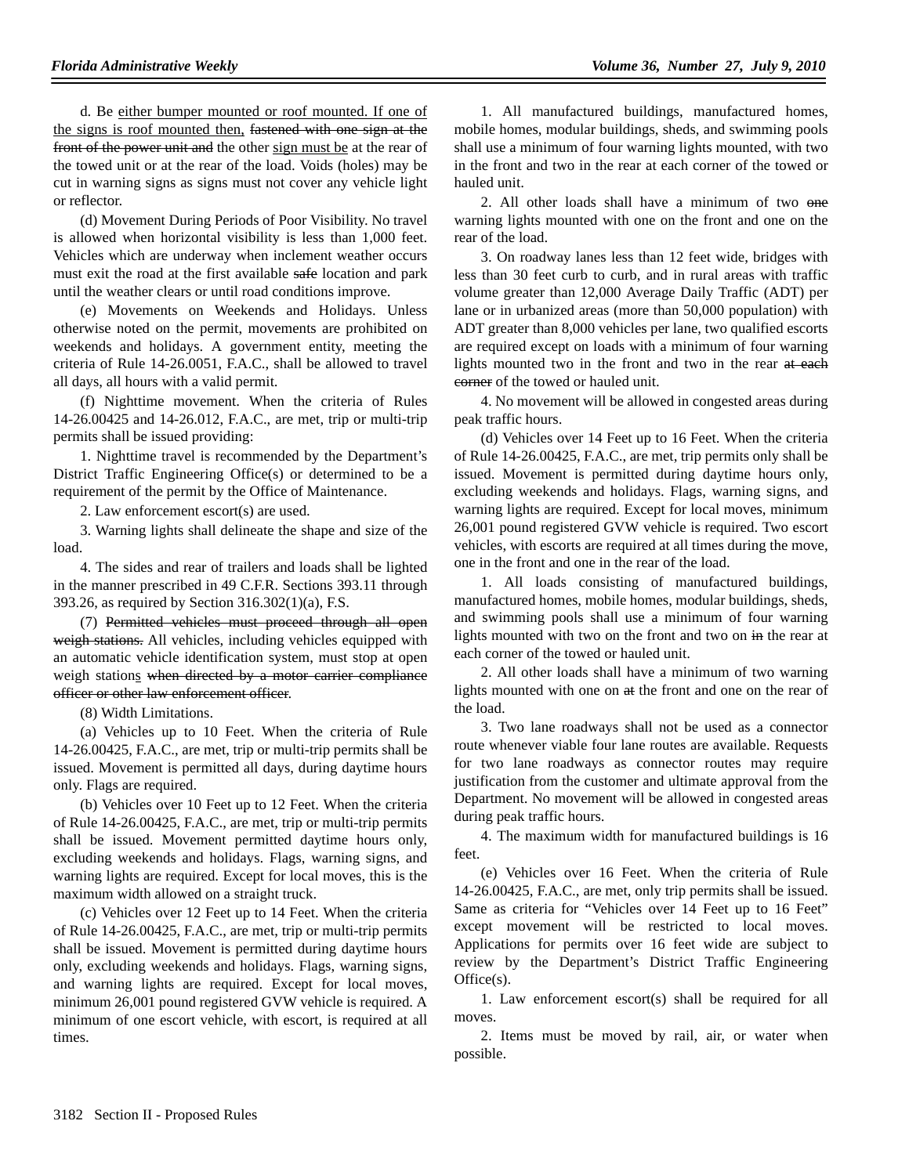d. Be either bumper mounted or roof mounted. If one of the signs is roof mounted then, fastened with one sign at the front of the power unit and the other sign must be at the rear of the towed unit or at the rear of the load. Voids (holes) may be cut in warning signs as signs must not cover any vehicle light or reflector.

(d) Movement During Periods of Poor Visibility. No travel is allowed when horizontal visibility is less than 1,000 feet. Vehicles which are underway when inclement weather occurs must exit the road at the first available safe location and park until the weather clears or until road conditions improve.

(e) Movements on Weekends and Holidays. Unless otherwise noted on the permit, movements are prohibited on weekends and holidays. A government entity, meeting the criteria of Rule 14-26.0051, F.A.C., shall be allowed to travel all days, all hours with a valid permit.

(f) Nighttime movement. When the criteria of Rules 14-26.00425 and 14-26.012, F.A.C., are met, trip or multi-trip permits shall be issued providing:

1. Nighttime travel is recommended by the Department's District Traffic Engineering Office(s) or determined to be a requirement of the permit by the Office of Maintenance.

2. Law enforcement escort(s) are used.

3. Warning lights shall delineate the shape and size of the load.

4. The sides and rear of trailers and loads shall be lighted in the manner prescribed in 49 C.F.R. Sections 393.11 through 393.26, as required by Section 316.302(1)(a), F.S.

(7) Permitted vehicles must proceed through all open weigh stations. All vehicles, including vehicles equipped with an automatic vehicle identification system, must stop at open weigh stations when directed by a motor carrier compliance officer or other law enforcement officer.

(8) Width Limitations.

(a) Vehicles up to 10 Feet. When the criteria of Rule 14-26.00425, F.A.C., are met, trip or multi-trip permits shall be issued. Movement is permitted all days, during daytime hours only. Flags are required.

(b) Vehicles over 10 Feet up to 12 Feet. When the criteria of Rule 14-26.00425, F.A.C., are met, trip or multi-trip permits shall be issued. Movement permitted daytime hours only, excluding weekends and holidays. Flags, warning signs, and warning lights are required. Except for local moves, this is the maximum width allowed on a straight truck.

(c) Vehicles over 12 Feet up to 14 Feet. When the criteria of Rule 14-26.00425, F.A.C., are met, trip or multi-trip permits shall be issued. Movement is permitted during daytime hours only, excluding weekends and holidays. Flags, warning signs, and warning lights are required. Except for local moves, minimum 26,001 pound registered GVW vehicle is required. A minimum of one escort vehicle, with escort, is required at all times.

1. All manufactured buildings, manufactured homes, mobile homes, modular buildings, sheds, and swimming pools shall use a minimum of four warning lights mounted, with two in the front and two in the rear at each corner of the towed or hauled unit.

2. All other loads shall have a minimum of two one warning lights mounted with one on the front and one on the rear of the load.

3. On roadway lanes less than 12 feet wide, bridges with less than 30 feet curb to curb, and in rural areas with traffic volume greater than 12,000 Average Daily Traffic (ADT) per lane or in urbanized areas (more than 50,000 population) with ADT greater than 8,000 vehicles per lane, two qualified escorts are required except on loads with a minimum of four warning lights mounted two in the front and two in the rear at each eorner of the towed or hauled unit.

4. No movement will be allowed in congested areas during peak traffic hours.

(d) Vehicles over 14 Feet up to 16 Feet. When the criteria of Rule 14-26.00425, F.A.C., are met, trip permits only shall be issued. Movement is permitted during daytime hours only, excluding weekends and holidays. Flags, warning signs, and warning lights are required. Except for local moves, minimum 26,001 pound registered GVW vehicle is required. Two escort vehicles, with escorts are required at all times during the move, one in the front and one in the rear of the load.

1. All loads consisting of manufactured buildings, manufactured homes, mobile homes, modular buildings, sheds, and swimming pools shall use a minimum of four warning lights mounted with two on the front and two on in the rear at each corner of the towed or hauled unit.

2. All other loads shall have a minimum of two warning lights mounted with one on  $\theta$  at the front and one on the rear of the load.

3. Two lane roadways shall not be used as a connector route whenever viable four lane routes are available. Requests for two lane roadways as connector routes may require justification from the customer and ultimate approval from the Department. No movement will be allowed in congested areas during peak traffic hours.

4. The maximum width for manufactured buildings is 16 feet.

(e) Vehicles over 16 Feet. When the criteria of Rule 14-26.00425, F.A.C., are met, only trip permits shall be issued. Same as criteria for "Vehicles over 14 Feet up to 16 Feet" except movement will be restricted to local moves. Applications for permits over 16 feet wide are subject to review by the Department's District Traffic Engineering Office(s).

1. Law enforcement escort(s) shall be required for all moves.

2. Items must be moved by rail, air, or water when possible.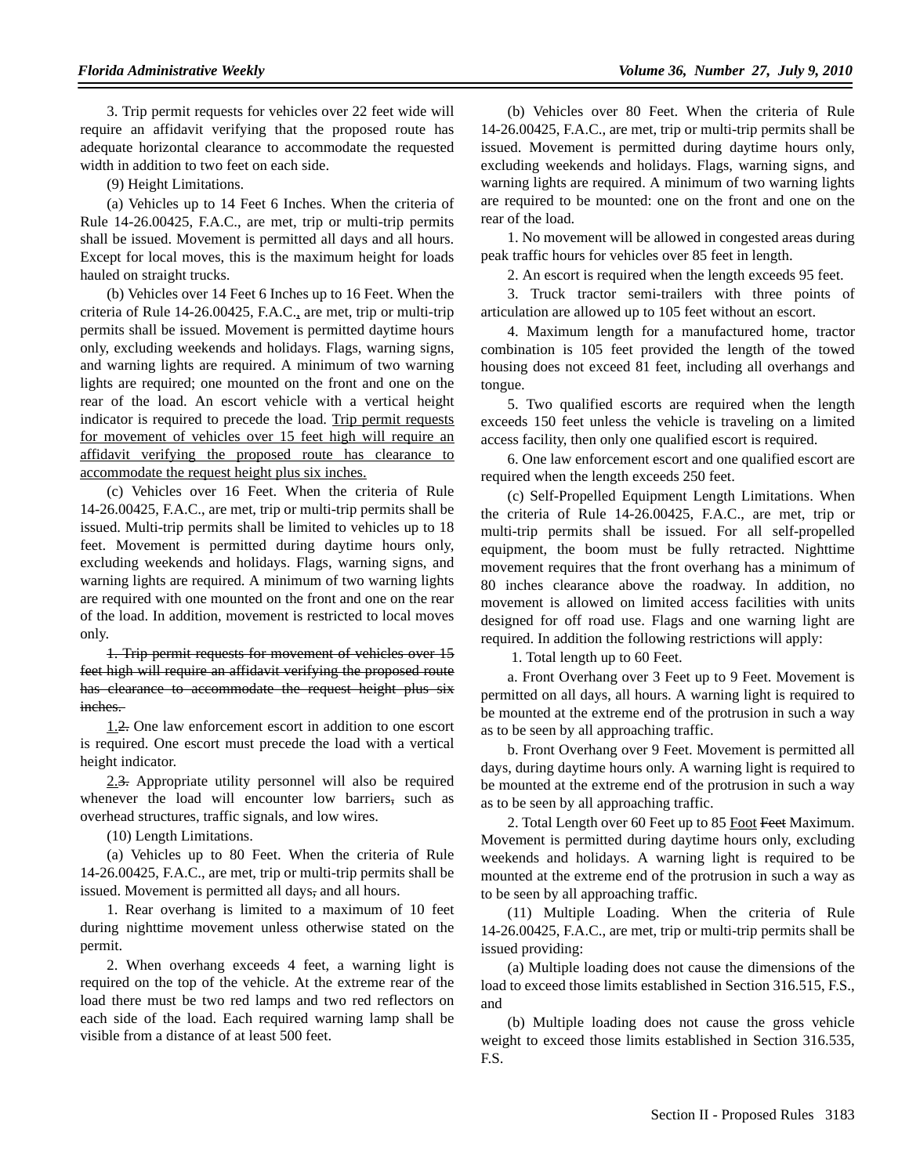3. Trip permit requests for vehicles over 22 feet wide will require an affidavit verifying that the proposed route has adequate horizontal clearance to accommodate the requested width in addition to two feet on each side.

(9) Height Limitations.

(a) Vehicles up to 14 Feet 6 Inches. When the criteria of Rule 14-26.00425, F.A.C., are met, trip or multi-trip permits shall be issued. Movement is permitted all days and all hours. Except for local moves, this is the maximum height for loads hauled on straight trucks.

(b) Vehicles over 14 Feet 6 Inches up to 16 Feet. When the criteria of Rule 14-26.00425, F.A.C., are met, trip or multi-trip permits shall be issued. Movement is permitted daytime hours only, excluding weekends and holidays. Flags, warning signs, and warning lights are required. A minimum of two warning lights are required; one mounted on the front and one on the rear of the load. An escort vehicle with a vertical height indicator is required to precede the load. Trip permit requests for movement of vehicles over 15 feet high will require an affidavit verifying the proposed route has clearance to accommodate the request height plus six inches.

(c) Vehicles over 16 Feet. When the criteria of Rule 14-26.00425, F.A.C., are met, trip or multi-trip permits shall be issued. Multi-trip permits shall be limited to vehicles up to 18 feet. Movement is permitted during daytime hours only, excluding weekends and holidays. Flags, warning signs, and warning lights are required. A minimum of two warning lights are required with one mounted on the front and one on the rear of the load. In addition, movement is restricted to local moves only.

1. Trip permit requests for movement of vehicles over 15 feet high will require an affidavit verifying the proposed route has clearance to accommodate the request height plus six inches.

1.2. One law enforcement escort in addition to one escort is required. One escort must precede the load with a vertical height indicator.

2.3. Appropriate utility personnel will also be required whenever the load will encounter low barriers, such as overhead structures, traffic signals, and low wires.

(10) Length Limitations.

(a) Vehicles up to 80 Feet. When the criteria of Rule 14-26.00425, F.A.C., are met, trip or multi-trip permits shall be issued. Movement is permitted all days, and all hours.

1. Rear overhang is limited to a maximum of 10 feet during nighttime movement unless otherwise stated on the permit.

2. When overhang exceeds 4 feet, a warning light is required on the top of the vehicle. At the extreme rear of the load there must be two red lamps and two red reflectors on each side of the load. Each required warning lamp shall be visible from a distance of at least 500 feet.

(b) Vehicles over 80 Feet. When the criteria of Rule 14-26.00425, F.A.C., are met, trip or multi-trip permits shall be issued. Movement is permitted during daytime hours only, excluding weekends and holidays. Flags, warning signs, and warning lights are required. A minimum of two warning lights are required to be mounted: one on the front and one on the rear of the load.

1. No movement will be allowed in congested areas during peak traffic hours for vehicles over 85 feet in length.

2. An escort is required when the length exceeds 95 feet.

3. Truck tractor semi-trailers with three points of articulation are allowed up to 105 feet without an escort.

4. Maximum length for a manufactured home, tractor combination is 105 feet provided the length of the towed housing does not exceed 81 feet, including all overhangs and tongue.

5. Two qualified escorts are required when the length exceeds 150 feet unless the vehicle is traveling on a limited access facility, then only one qualified escort is required.

6. One law enforcement escort and one qualified escort are required when the length exceeds 250 feet.

(c) Self-Propelled Equipment Length Limitations. When the criteria of Rule 14-26.00425, F.A.C., are met, trip or multi-trip permits shall be issued. For all self-propelled equipment, the boom must be fully retracted. Nighttime movement requires that the front overhang has a minimum of 80 inches clearance above the roadway. In addition, no movement is allowed on limited access facilities with units designed for off road use. Flags and one warning light are required. In addition the following restrictions will apply:

1. Total length up to 60 Feet.

a. Front Overhang over 3 Feet up to 9 Feet. Movement is permitted on all days, all hours. A warning light is required to be mounted at the extreme end of the protrusion in such a way as to be seen by all approaching traffic.

b. Front Overhang over 9 Feet. Movement is permitted all days, during daytime hours only. A warning light is required to be mounted at the extreme end of the protrusion in such a way as to be seen by all approaching traffic.

2. Total Length over 60 Feet up to 85 Foot Feet Maximum. Movement is permitted during daytime hours only, excluding weekends and holidays. A warning light is required to be mounted at the extreme end of the protrusion in such a way as to be seen by all approaching traffic.

(11) Multiple Loading. When the criteria of Rule 14-26.00425, F.A.C., are met, trip or multi-trip permits shall be issued providing:

(a) Multiple loading does not cause the dimensions of the load to exceed those limits established in Section 316.515, F.S., and

(b) Multiple loading does not cause the gross vehicle weight to exceed those limits established in Section 316.535, F.S.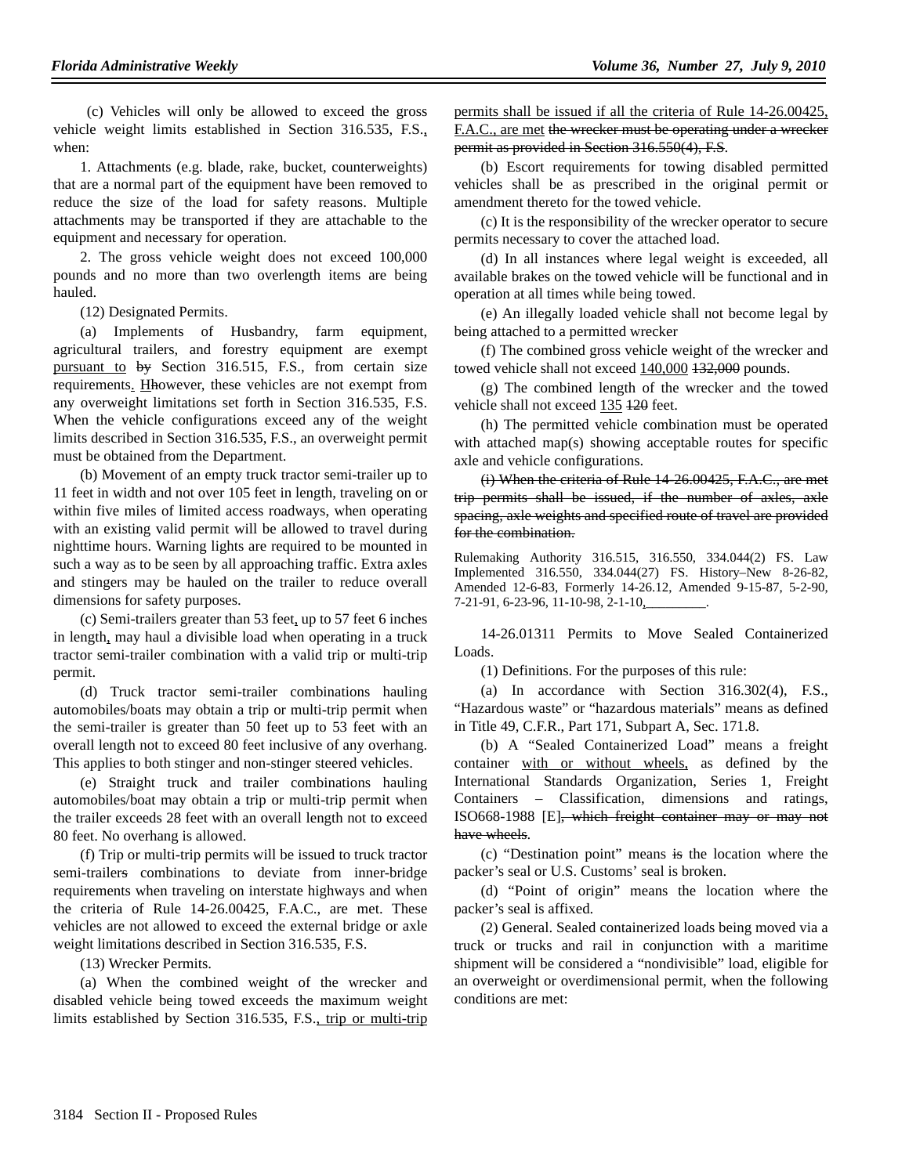(c) Vehicles will only be allowed to exceed the gross vehicle weight limits established in Section 316.535, F.S., when:

1. Attachments (e.g. blade, rake, bucket, counterweights) that are a normal part of the equipment have been removed to reduce the size of the load for safety reasons. Multiple attachments may be transported if they are attachable to the equipment and necessary for operation.

2. The gross vehicle weight does not exceed 100,000 pounds and no more than two overlength items are being hauled.

(12) Designated Permits.

(a) Implements of Husbandry, farm equipment, agricultural trailers, and forestry equipment are exempt pursuant to by Section 316.515, F.S., from certain size requirements. Hhowever, these vehicles are not exempt from any overweight limitations set forth in Section 316.535, F.S. When the vehicle configurations exceed any of the weight limits described in Section 316.535, F.S., an overweight permit must be obtained from the Department.

(b) Movement of an empty truck tractor semi-trailer up to 11 feet in width and not over 105 feet in length, traveling on or within five miles of limited access roadways, when operating with an existing valid permit will be allowed to travel during nighttime hours. Warning lights are required to be mounted in such a way as to be seen by all approaching traffic. Extra axles and stingers may be hauled on the trailer to reduce overall dimensions for safety purposes.

(c) Semi-trailers greater than 53 feet, up to 57 feet 6 inches in length, may haul a divisible load when operating in a truck tractor semi-trailer combination with a valid trip or multi-trip permit.

(d) Truck tractor semi-trailer combinations hauling automobiles/boats may obtain a trip or multi-trip permit when the semi-trailer is greater than 50 feet up to 53 feet with an overall length not to exceed 80 feet inclusive of any overhang. This applies to both stinger and non-stinger steered vehicles.

(e) Straight truck and trailer combinations hauling automobiles/boat may obtain a trip or multi-trip permit when the trailer exceeds 28 feet with an overall length not to exceed 80 feet. No overhang is allowed.

(f) Trip or multi-trip permits will be issued to truck tractor semi-trailers combinations to deviate from inner-bridge requirements when traveling on interstate highways and when the criteria of Rule 14-26.00425, F.A.C., are met. These vehicles are not allowed to exceed the external bridge or axle weight limitations described in Section 316.535, F.S.

(13) Wrecker Permits.

(a) When the combined weight of the wrecker and disabled vehicle being towed exceeds the maximum weight limits established by Section 316.535, F.S., trip or multi-trip

permits shall be issued if all the criteria of Rule 14-26.00425, F.A.C., are met the wrecker must be operating under a wrecker permit as provided in Section 316.550(4), F.S.

(b) Escort requirements for towing disabled permitted vehicles shall be as prescribed in the original permit or amendment thereto for the towed vehicle.

(c) It is the responsibility of the wrecker operator to secure permits necessary to cover the attached load.

(d) In all instances where legal weight is exceeded, all available brakes on the towed vehicle will be functional and in operation at all times while being towed.

(e) An illegally loaded vehicle shall not become legal by being attached to a permitted wrecker

(f) The combined gross vehicle weight of the wrecker and towed vehicle shall not exceed  $140,000$   $132,000$  pounds.

(g) The combined length of the wrecker and the towed vehicle shall not exceed 135 120 feet.

(h) The permitted vehicle combination must be operated with attached map(s) showing acceptable routes for specific axle and vehicle configurations.

(i) When the criteria of Rule 14-26.00425, F.A.C., are met trip permits shall be issued, if the number of axles, axle spacing, axle weights and specified route of travel are provided for the combination.

Rulemaking Authority 316.515, 316.550, 334.044(2) FS. Law Implemented 316.550, 334.044(27) FS. History–New 8-26-82, Amended 12-6-83, Formerly 14-26.12, Amended 9-15-87, 5-2-90, 7-21-91, 6-23-96, 11-10-98, 2-1-10,

14-26.01311 Permits to Move Sealed Containerized Loads.

(1) Definitions. For the purposes of this rule:

(a) In accordance with Section 316.302(4), F.S., "Hazardous waste" or "hazardous materials" means as defined in Title 49, C.F.R., Part 171, Subpart A, Sec. 171.8.

(b) A "Sealed Containerized Load" means a freight container with or without wheels, as defined by the International Standards Organization, Series 1, Freight Containers – Classification, dimensions and ratings, ISO668-1988 [E], which freight container may or may not have wheels.

(c) "Destination point" means is the location where the packer's seal or U.S. Customs' seal is broken.

(d) "Point of origin" means the location where the packer's seal is affixed.

(2) General. Sealed containerized loads being moved via a truck or trucks and rail in conjunction with a maritime shipment will be considered a "nondivisible" load, eligible for an overweight or overdimensional permit, when the following conditions are met: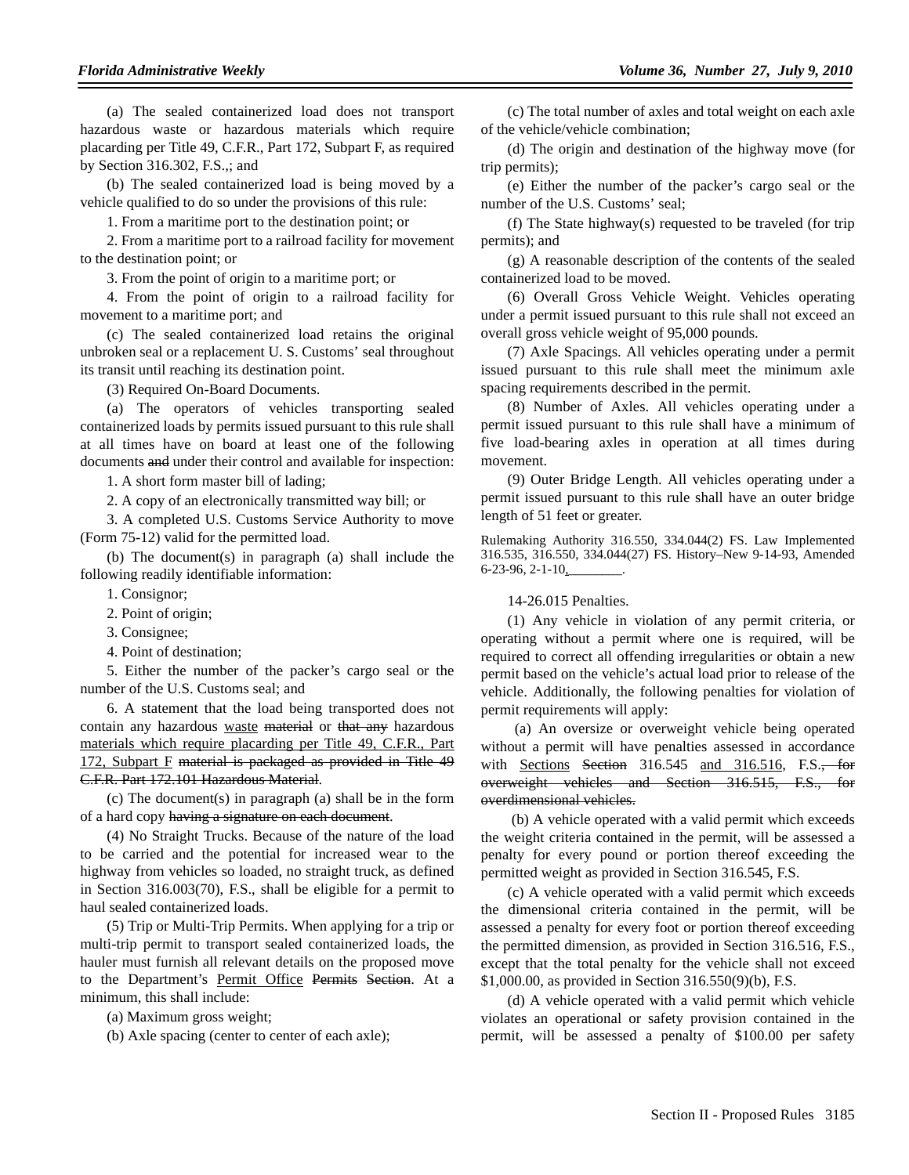(a) The sealed containerized load does not transport hazardous waste or hazardous materials which require placarding per Title 49, C.F.R., Part 172, Subpart F, as required by Section 316.302, F.S.,; and

(b) The sealed containerized load is being moved by a vehicle qualified to do so under the provisions of this rule:

1. From a maritime port to the destination point; or

2. From a maritime port to a railroad facility for movement to the destination point; or

3. From the point of origin to a maritime port; or

4. From the point of origin to a railroad facility for movement to a maritime port; and

(c) The sealed containerized load retains the original unbroken seal or a replacement U. S. Customs' seal throughout its transit until reaching its destination point.

(3) Required On-Board Documents.

(a) The operators of vehicles transporting sealed containerized loads by permits issued pursuant to this rule shall at all times have on board at least one of the following documents and under their control and available for inspection:

1. A short form master bill of lading;

2. A copy of an electronically transmitted way bill; or

3. A completed U.S. Customs Service Authority to move (Form 75-12) valid for the permitted load.

(b) The document(s) in paragraph (a) shall include the following readily identifiable information:

1. Consignor;

2. Point of origin;

3. Consignee;

4. Point of destination;

5. Either the number of the packer's cargo seal or the number of the U.S. Customs seal; and

6. A statement that the load being transported does not contain any hazardous waste material or that any hazardous materials which require placarding per Title 49, C.F.R., Part 172, Subpart F material is packaged as provided in Title 49 C.F.R. Part 172.101 Hazardous Material.

(c) The document(s) in paragraph (a) shall be in the form of a hard copy having a signature on each document.

(4) No Straight Trucks. Because of the nature of the load to be carried and the potential for increased wear to the highway from vehicles so loaded, no straight truck, as defined in Section 316.003(70), F.S., shall be eligible for a permit to haul sealed containerized loads.

(5) Trip or Multi-Trip Permits. When applying for a trip or multi-trip permit to transport sealed containerized loads, the hauler must furnish all relevant details on the proposed move to the Department's Permit Office Permits Section. At a minimum, this shall include:

(a) Maximum gross weight;

(b) Axle spacing (center to center of each axle);

(c) The total number of axles and total weight on each axle of the vehicle/vehicle combination;

(d) The origin and destination of the highway move (for trip permits);

(e) Either the number of the packer's cargo seal or the number of the U.S. Customs' seal;

(f) The State highway(s) requested to be traveled (for trip permits); and

(g) A reasonable description of the contents of the sealed containerized load to be moved.

(6) Overall Gross Vehicle Weight. Vehicles operating under a permit issued pursuant to this rule shall not exceed an overall gross vehicle weight of 95,000 pounds.

(7) Axle Spacings. All vehicles operating under a permit issued pursuant to this rule shall meet the minimum axle spacing requirements described in the permit.

(8) Number of Axles. All vehicles operating under a permit issued pursuant to this rule shall have a minimum of five load-bearing axles in operation at all times during movement.

(9) Outer Bridge Length. All vehicles operating under a permit issued pursuant to this rule shall have an outer bridge length of 51 feet or greater.

Rulemaking Authority 316.550, 334.044(2) FS. Law Implemented 316.535, 316.550, 334.044(27) FS. History–New 9-14-93, Amended  $6-23-96, 2-1-10, \underline{\hspace{2cm}}$ 

14-26.015 Penalties.

(1) Any vehicle in violation of any permit criteria, or operating without a permit where one is required, will be required to correct all offending irregularities or obtain a new permit based on the vehicle's actual load prior to release of the vehicle. Additionally, the following penalties for violation of permit requirements will apply:

 (a) An oversize or overweight vehicle being operated without a permit will have penalties assessed in accordance with Sections Section  $316.545$  and  $316.516$ , F.S., for overweight vehicles and Section 316.515, F.S., for overdimensional vehicles.

 (b) A vehicle operated with a valid permit which exceeds the weight criteria contained in the permit, will be assessed a penalty for every pound or portion thereof exceeding the permitted weight as provided in Section 316.545, F.S.

(c) A vehicle operated with a valid permit which exceeds the dimensional criteria contained in the permit, will be assessed a penalty for every foot or portion thereof exceeding the permitted dimension, as provided in Section 316.516, F.S., except that the total penalty for the vehicle shall not exceed \$1,000.00, as provided in Section 316.550(9)(b), F.S.

(d) A vehicle operated with a valid permit which vehicle violates an operational or safety provision contained in the permit, will be assessed a penalty of \$100.00 per safety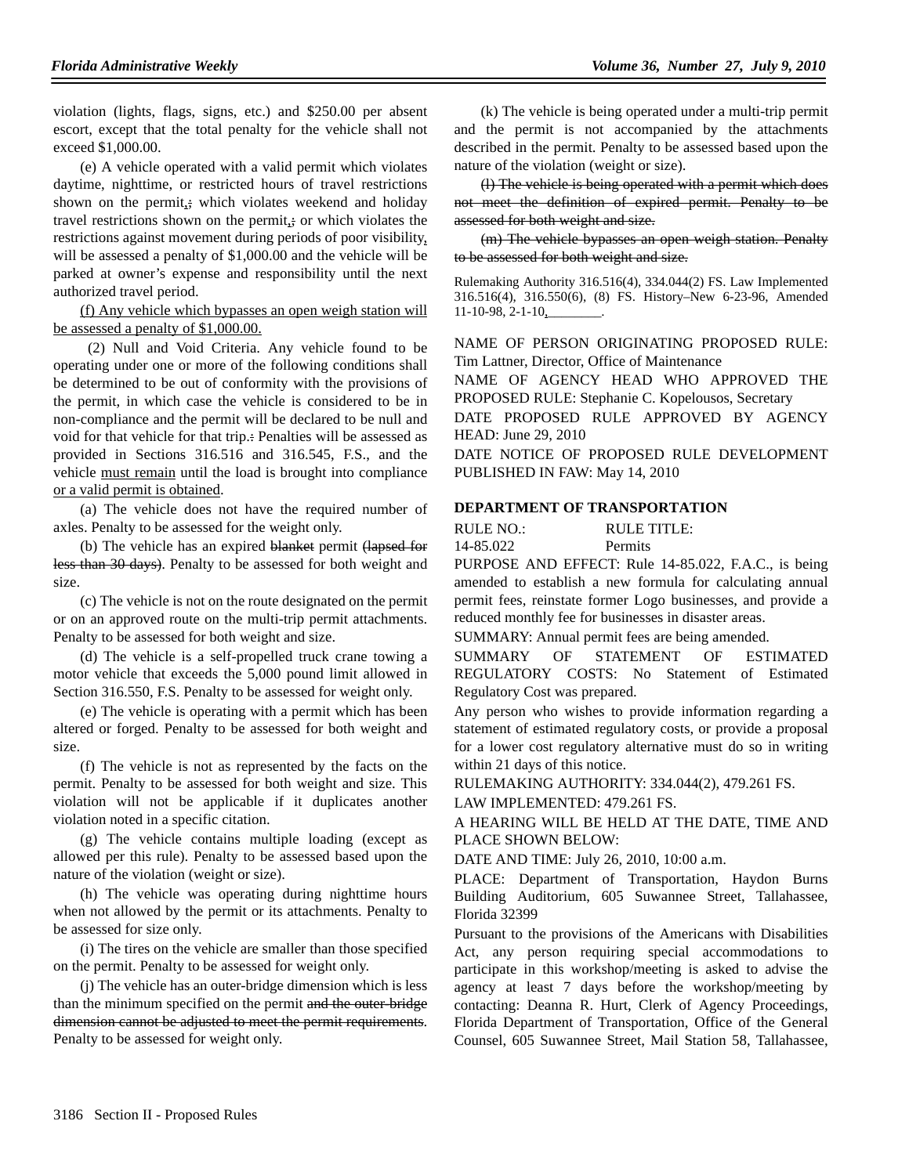violation (lights, flags, signs, etc.) and \$250.00 per absent escort, except that the total penalty for the vehicle shall not exceed \$1,000.00.

(e) A vehicle operated with a valid permit which violates daytime, nighttime, or restricted hours of travel restrictions shown on the permit<sub>1</sub>; which violates weekend and holiday travel restrictions shown on the permit<sub>i</sub>; or which violates the restrictions against movement during periods of poor visibility, will be assessed a penalty of \$1,000.00 and the vehicle will be parked at owner's expense and responsibility until the next authorized travel period.

(f) Any vehicle which bypasses an open weigh station will be assessed a penalty of \$1,000.00.

 (2) Null and Void Criteria. Any vehicle found to be operating under one or more of the following conditions shall be determined to be out of conformity with the provisions of the permit, in which case the vehicle is considered to be in non-compliance and the permit will be declared to be null and void for that vehicle for that trip.: Penalties will be assessed as provided in Sections 316.516 and 316.545, F.S., and the vehicle must remain until the load is brought into compliance or a valid permit is obtained.

(a) The vehicle does not have the required number of axles. Penalty to be assessed for the weight only.

(b) The vehicle has an expired blanket permit (lapsed for less than 30 days). Penalty to be assessed for both weight and size.

(c) The vehicle is not on the route designated on the permit or on an approved route on the multi-trip permit attachments. Penalty to be assessed for both weight and size.

(d) The vehicle is a self-propelled truck crane towing a motor vehicle that exceeds the 5,000 pound limit allowed in Section 316.550, F.S. Penalty to be assessed for weight only.

(e) The vehicle is operating with a permit which has been altered or forged. Penalty to be assessed for both weight and size.

(f) The vehicle is not as represented by the facts on the permit. Penalty to be assessed for both weight and size. This violation will not be applicable if it duplicates another violation noted in a specific citation.

(g) The vehicle contains multiple loading (except as allowed per this rule). Penalty to be assessed based upon the nature of the violation (weight or size).

(h) The vehicle was operating during nighttime hours when not allowed by the permit or its attachments. Penalty to be assessed for size only.

(i) The tires on the vehicle are smaller than those specified on the permit. Penalty to be assessed for weight only.

(j) The vehicle has an outer-bridge dimension which is less than the minimum specified on the permit and the outer-bridge dimension cannot be adjusted to meet the permit requirements. Penalty to be assessed for weight only.

(k) The vehicle is being operated under a multi-trip permit and the permit is not accompanied by the attachments described in the permit. Penalty to be assessed based upon the nature of the violation (weight or size).

(l) The vehicle is being operated with a permit which does not meet the definition of expired permit. Penalty to be assessed for both weight and size.

(m) The vehicle bypasses an open weigh station. Penalty to be assessed for both weight and size.

Rulemaking Authority 316.516(4), 334.044(2) FS. Law Implemented 316.516(4), 316.550(6), (8) FS. History–New 6-23-96, Amended 11-10-98, 2-1-10,

NAME OF PERSON ORIGINATING PROPOSED RULE: Tim Lattner, Director, Office of Maintenance

NAME OF AGENCY HEAD WHO APPROVED THE PROPOSED RULE: Stephanie C. Kopelousos, Secretary

DATE PROPOSED RULE APPROVED BY AGENCY HEAD: June 29, 2010

DATE NOTICE OF PROPOSED RULE DEVELOPMENT PUBLISHED IN FAW: May 14, 2010

#### **DEPARTMENT OF TRANSPORTATION**

RULE NO.: RULE TITLE: 14-85.022 Permits

PURPOSE AND EFFECT: Rule 14-85.022, F.A.C., is being amended to establish a new formula for calculating annual permit fees, reinstate former Logo businesses, and provide a reduced monthly fee for businesses in disaster areas.

SUMMARY: Annual permit fees are being amended.

SUMMARY OF STATEMENT OF ESTIMATED REGULATORY COSTS: No Statement of Estimated Regulatory Cost was prepared.

Any person who wishes to provide information regarding a statement of estimated regulatory costs, or provide a proposal for a lower cost regulatory alternative must do so in writing within 21 days of this notice.

RULEMAKING AUTHORITY: 334.044(2), 479.261 FS.

LAW IMPLEMENTED: 479.261 FS.

A HEARING WILL BE HELD AT THE DATE, TIME AND PLACE SHOWN BELOW:

DATE AND TIME: July 26, 2010, 10:00 a.m.

PLACE: Department of Transportation, Haydon Burns Building Auditorium, 605 Suwannee Street, Tallahassee, Florida 32399

Pursuant to the provisions of the Americans with Disabilities Act, any person requiring special accommodations to participate in this workshop/meeting is asked to advise the agency at least 7 days before the workshop/meeting by contacting: Deanna R. Hurt, Clerk of Agency Proceedings, Florida Department of Transportation, Office of the General Counsel, 605 Suwannee Street, Mail Station 58, Tallahassee,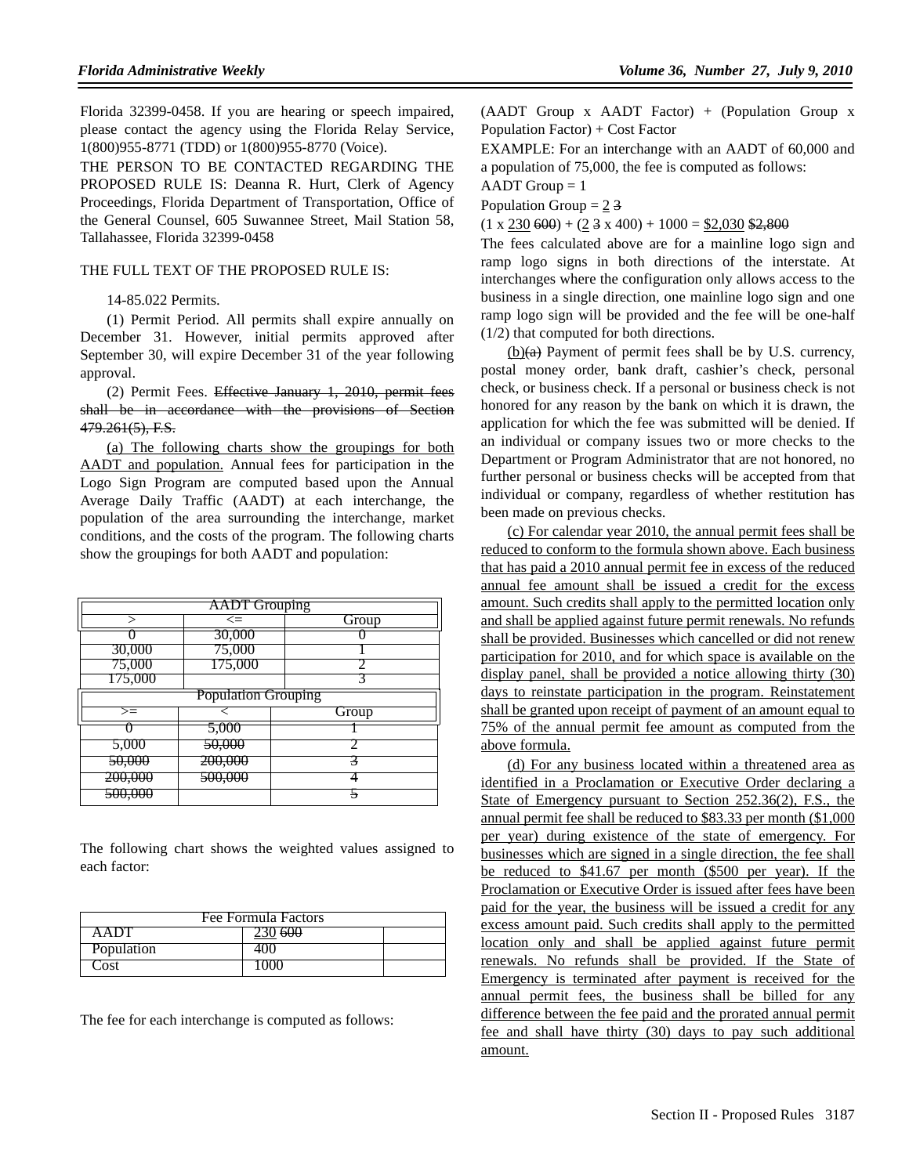Florida 32399-0458. If you are hearing or speech impaired, please contact the agency using the Florida Relay Service, 1(800)955-8771 (TDD) or 1(800)955-8770 (Voice).

THE PERSON TO BE CONTACTED REGARDING THE PROPOSED RULE IS: Deanna R. Hurt, Clerk of Agency Proceedings, Florida Department of Transportation, Office of the General Counsel, 605 Suwannee Street, Mail Station 58, Tallahassee, Florida 32399-0458

#### THE FULL TEXT OF THE PROPOSED RULE IS:

14-85.022 Permits.

(1) Permit Period. All permits shall expire annually on December 31. However, initial permits approved after September 30, will expire December 31 of the year following approval.

(2) Permit Fees. Effective January 1, 2010, permit fees shall be in accordance with the provisions of Section 479.261(5), F.S.

(a) The following charts show the groupings for both AADT and population. Annual fees for participation in the Logo Sign Program are computed based upon the Annual Average Daily Traffic (AADT) at each interchange, the population of the area surrounding the interchange, market conditions, and the costs of the program. The following charts show the groupings for both AADT and population:

| <b>AADT</b> Grouping       |                    |       |
|----------------------------|--------------------|-------|
|                            | $\leq$             | Group |
|                            | 30,000             |       |
| 30,000                     | 75,000             |       |
| 75,000                     | 175,000            |       |
| 175,000                    |                    |       |
| <b>Population Grouping</b> |                    |       |
| $>=$                       |                    | Group |
|                            | 5,000              |       |
| 5,000                      | 50,000             |       |
| <del>50,000</del>          | 200,000            |       |
| <del>200,000</del>         | <del>500,000</del> |       |
| <del>500.000</del>         |                    |       |

The following chart shows the weighted values assigned to each factor:

| Fee Formula Factors |         |  |
|---------------------|---------|--|
| A A UU              | 230 600 |  |
| Population          | 40O     |  |
| Cost                | 1000    |  |

The fee for each interchange is computed as follows:

(AADT Group x AADT Factor) + (Population Group x Population Factor) + Cost Factor

EXAMPLE: For an interchange with an AADT of 60,000 and a population of 75,000, the fee is computed as follows:

 $AADT$  Group = 1

Population Group  $= 2.3$ 

 $(1 \times 230\,600) + (2 \cdot 3 \times 400) + 1000 = $2,030\, $2,800$ 

The fees calculated above are for a mainline logo sign and ramp logo signs in both directions of the interstate. At interchanges where the configuration only allows access to the business in a single direction, one mainline logo sign and one ramp logo sign will be provided and the fee will be one-half (1/2) that computed for both directions.

 $(b)(a)$  Payment of permit fees shall be by U.S. currency, postal money order, bank draft, cashier's check, personal check, or business check. If a personal or business check is not honored for any reason by the bank on which it is drawn, the application for which the fee was submitted will be denied. If an individual or company issues two or more checks to the Department or Program Administrator that are not honored, no further personal or business checks will be accepted from that individual or company, regardless of whether restitution has been made on previous checks.

(c) For calendar year 2010, the annual permit fees shall be reduced to conform to the formula shown above. Each business that has paid a 2010 annual permit fee in excess of the reduced annual fee amount shall be issued a credit for the excess amount. Such credits shall apply to the permitted location only and shall be applied against future permit renewals. No refunds shall be provided. Businesses which cancelled or did not renew participation for 2010, and for which space is available on the display panel, shall be provided a notice allowing thirty (30) days to reinstate participation in the program. Reinstatement shall be granted upon receipt of payment of an amount equal to 75% of the annual permit fee amount as computed from the above formula.

(d) For any business located within a threatened area as identified in a Proclamation or Executive Order declaring a State of Emergency pursuant to Section 252.36(2), F.S., the annual permit fee shall be reduced to \$83.33 per month (\$1,000 per year) during existence of the state of emergency. For businesses which are signed in a single direction, the fee shall be reduced to \$41.67 per month (\$500 per year). If the Proclamation or Executive Order is issued after fees have been paid for the year, the business will be issued a credit for any excess amount paid. Such credits shall apply to the permitted location only and shall be applied against future permit renewals. No refunds shall be provided. If the State of Emergency is terminated after payment is received for the annual permit fees, the business shall be billed for any difference between the fee paid and the prorated annual permit fee and shall have thirty (30) days to pay such additional amount.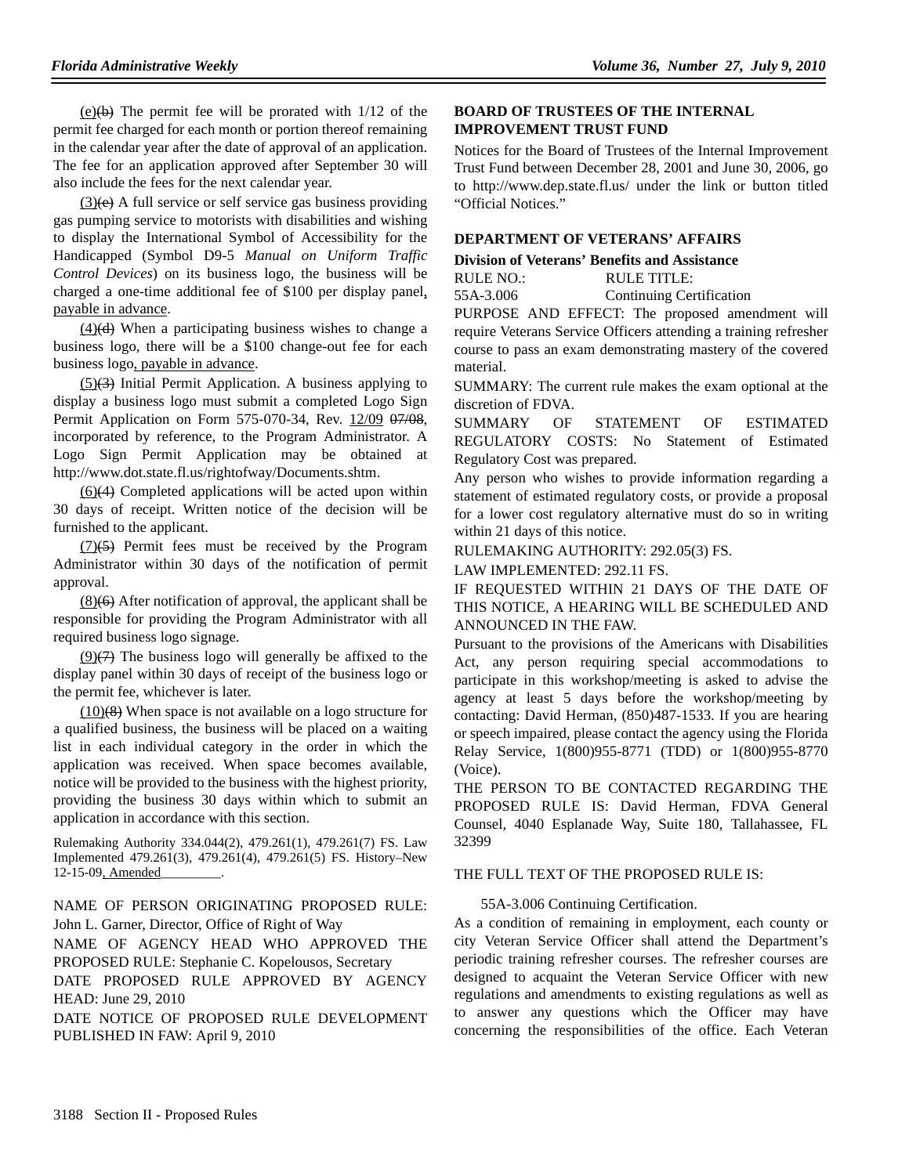$(e)(b)$  The permit fee will be prorated with  $1/12$  of the permit fee charged for each month or portion thereof remaining in the calendar year after the date of approval of an application. The fee for an application approved after September 30 will also include the fees for the next calendar year.

 $(3)(e)$  A full service or self service gas business providing gas pumping service to motorists with disabilities and wishing to display the International Symbol of Accessibility for the Handicapped (Symbol D9-5 *Manual on Uniform Traffic Control Devices*) on its business logo, the business will be charged a one-time additional fee of \$100 per display panel, payable in advance.

 $(4)(d)$  When a participating business wishes to change a business logo, there will be a \$100 change-out fee for each business logo, payable in advance.

 $(5)(3)$  Initial Permit Application. A business applying to display a business logo must submit a completed Logo Sign Permit Application on Form 575-070-34, Rev. 12/09 07/08, incorporated by reference, to the Program Administrator. A Logo Sign Permit Application may be obtained at http://www.dot.state.fl.us/rightofway/Documents.shtm.

(6)(4) Completed applications will be acted upon within 30 days of receipt. Written notice of the decision will be furnished to the applicant.

 $(7)(5)$  Permit fees must be received by the Program Administrator within 30 days of the notification of permit approval.

 $(8)(6)$  After notification of approval, the applicant shall be responsible for providing the Program Administrator with all required business logo signage.

 $(9)(7)$  The business logo will generally be affixed to the display panel within 30 days of receipt of the business logo or the permit fee, whichever is later.

 $(10)(8)$  When space is not available on a logo structure for a qualified business, the business will be placed on a waiting list in each individual category in the order in which the application was received. When space becomes available, notice will be provided to the business with the highest priority, providing the business 30 days within which to submit an application in accordance with this section.

Rulemaking Authority 334.044(2), 479.261(1), 479.261(7) FS. Law Implemented 479.261(3), 479.261(4), 479.261(5) FS. History–New 12-15-09, Amended

NAME OF PERSON ORIGINATING PROPOSED RULE: John L. Garner, Director, Office of Right of Way

NAME OF AGENCY HEAD WHO APPROVED THE PROPOSED RULE: Stephanie C. Kopelousos, Secretary

DATE PROPOSED RULE APPROVED BY AGENCY HEAD: June 29, 2010

DATE NOTICE OF PROPOSED RULE DEVELOPMENT PUBLISHED IN FAW: April 9, 2010

## **BOARD OF TRUSTEES OF THE INTERNAL IMPROVEMENT TRUST FUND**

Notices for the Board of Trustees of the Internal Improvement Trust Fund between December 28, 2001 and June 30, 2006, go to http://www.dep.state.fl.us/ under the link or button titled "Official Notices."

## **DEPARTMENT OF VETERANS' AFFAIRS**

## **Division of Veterans' Benefits and Assistance**

| RULE NO.: | RULE TITLE:                     |
|-----------|---------------------------------|
| 55A-3.006 | <b>Continuing Certification</b> |

PURPOSE AND EFFECT: The proposed amendment will require Veterans Service Officers attending a training refresher course to pass an exam demonstrating mastery of the covered material.

SUMMARY: The current rule makes the exam optional at the discretion of FDVA.

SUMMARY OF STATEMENT OF ESTIMATED REGULATORY COSTS: No Statement of Estimated Regulatory Cost was prepared.

Any person who wishes to provide information regarding a statement of estimated regulatory costs, or provide a proposal for a lower cost regulatory alternative must do so in writing within 21 days of this notice.

RULEMAKING AUTHORITY: 292.05(3) FS.

LAW IMPLEMENTED: 292.11 FS.

IF REQUESTED WITHIN 21 DAYS OF THE DATE OF THIS NOTICE, A HEARING WILL BE SCHEDULED AND ANNOUNCED IN THE FAW.

Pursuant to the provisions of the Americans with Disabilities Act, any person requiring special accommodations to participate in this workshop/meeting is asked to advise the agency at least 5 days before the workshop/meeting by contacting: David Herman, (850)487-1533. If you are hearing or speech impaired, please contact the agency using the Florida Relay Service, 1(800)955-8771 (TDD) or 1(800)955-8770 (Voice).

THE PERSON TO BE CONTACTED REGARDING THE PROPOSED RULE IS: David Herman, FDVA General Counsel, 4040 Esplanade Way, Suite 180, Tallahassee, FL 32399

#### THE FULL TEXT OF THE PROPOSED RULE IS:

## 55A-3.006 Continuing Certification.

As a condition of remaining in employment, each county or city Veteran Service Officer shall attend the Department's periodic training refresher courses. The refresher courses are designed to acquaint the Veteran Service Officer with new regulations and amendments to existing regulations as well as to answer any questions which the Officer may have concerning the responsibilities of the office. Each Veteran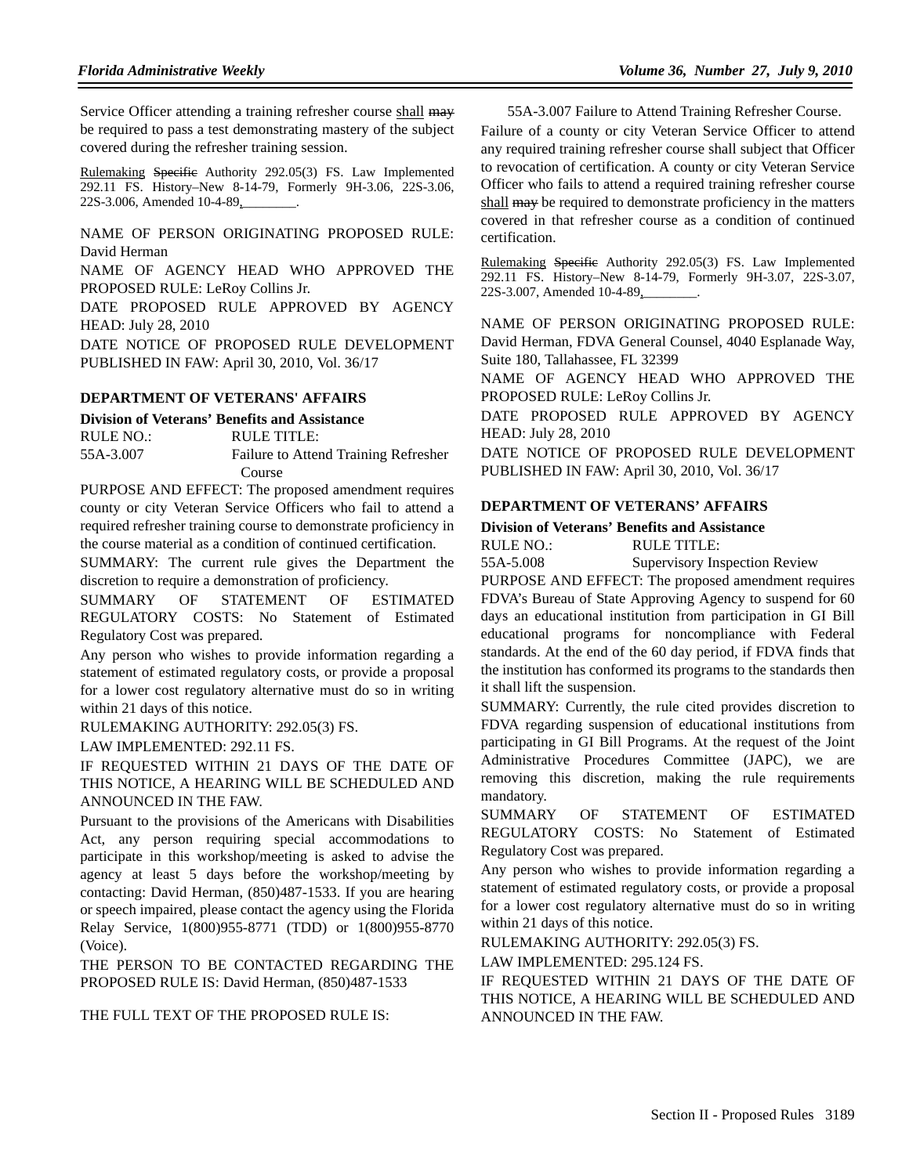Service Officer attending a training refresher course shall may be required to pass a test demonstrating mastery of the subject covered during the refresher training session.

Rulemaking Specific Authority 292.05(3) FS. Law Implemented 292.11 FS. History–New 8-14-79, Formerly 9H-3.06, 22S-3.06, 22S-3.006, Amended 10-4-89,

NAME OF PERSON ORIGINATING PROPOSED RULE: David Herman

NAME OF AGENCY HEAD WHO APPROVED THE PROPOSED RULE: LeRoy Collins Jr.

DATE PROPOSED RULE APPROVED BY AGENCY HEAD: July 28, 2010

DATE NOTICE OF PROPOSED RULE DEVELOPMENT PUBLISHED IN FAW: April 30, 2010, Vol. 36/17

#### **DEPARTMENT OF VETERANS' AFFAIRS**

#### **Division of Veterans' Benefits and Assistance**

RULE NO.: RULE TITLE:

55A-3.007 Failure to Attend Training Refresher Course

PURPOSE AND EFFECT: The proposed amendment requires county or city Veteran Service Officers who fail to attend a required refresher training course to demonstrate proficiency in the course material as a condition of continued certification.

SUMMARY: The current rule gives the Department the discretion to require a demonstration of proficiency.

SUMMARY OF STATEMENT OF ESTIMATED REGULATORY COSTS: No Statement of Estimated Regulatory Cost was prepared.

Any person who wishes to provide information regarding a statement of estimated regulatory costs, or provide a proposal for a lower cost regulatory alternative must do so in writing within 21 days of this notice.

RULEMAKING AUTHORITY: 292.05(3) FS.

LAW IMPLEMENTED: 292.11 FS.

IF REQUESTED WITHIN 21 DAYS OF THE DATE OF THIS NOTICE, A HEARING WILL BE SCHEDULED AND ANNOUNCED IN THE FAW.

Pursuant to the provisions of the Americans with Disabilities Act, any person requiring special accommodations to participate in this workshop/meeting is asked to advise the agency at least 5 days before the workshop/meeting by contacting: David Herman, (850)487-1533. If you are hearing or speech impaired, please contact the agency using the Florida Relay Service, 1(800)955-8771 (TDD) or 1(800)955-8770 (Voice).

THE PERSON TO BE CONTACTED REGARDING THE PROPOSED RULE IS: David Herman, (850)487-1533

THE FULL TEXT OF THE PROPOSED RULE IS:

55A-3.007 Failure to Attend Training Refresher Course.

Failure of a county or city Veteran Service Officer to attend any required training refresher course shall subject that Officer to revocation of certification. A county or city Veteran Service Officer who fails to attend a required training refresher course shall may be required to demonstrate proficiency in the matters covered in that refresher course as a condition of continued certification.

Rulemaking Specific Authority 292.05(3) FS. Law Implemented 292.11 FS. History–New 8-14-79, Formerly 9H-3.07, 22S-3.07, 22S-3.007, Amended 10-4-89,

NAME OF PERSON ORIGINATING PROPOSED RULE: David Herman, FDVA General Counsel, 4040 Esplanade Way, Suite 180, Tallahassee, FL 32399

NAME OF AGENCY HEAD WHO APPROVED THE PROPOSED RULE: LeRoy Collins Jr.

DATE PROPOSED RULE APPROVED BY AGENCY HEAD: July 28, 2010

DATE NOTICE OF PROPOSED RULE DEVELOPMENT PUBLISHED IN FAW: April 30, 2010, Vol. 36/17

## **DEPARTMENT OF VETERANS' AFFAIRS**

## **Division of Veterans' Benefits and Assistance**

RULE NO.: RULE TITLE:

55A-5.008 Supervisory Inspection Review

PURPOSE AND EFFECT: The proposed amendment requires FDVA's Bureau of State Approving Agency to suspend for 60 days an educational institution from participation in GI Bill educational programs for noncompliance with Federal standards. At the end of the 60 day period, if FDVA finds that the institution has conformed its programs to the standards then it shall lift the suspension.

SUMMARY: Currently, the rule cited provides discretion to FDVA regarding suspension of educational institutions from participating in GI Bill Programs. At the request of the Joint Administrative Procedures Committee (JAPC), we are removing this discretion, making the rule requirements mandatory.

SUMMARY OF STATEMENT OF ESTIMATED REGULATORY COSTS: No Statement of Estimated Regulatory Cost was prepared.

Any person who wishes to provide information regarding a statement of estimated regulatory costs, or provide a proposal for a lower cost regulatory alternative must do so in writing within 21 days of this notice.

RULEMAKING AUTHORITY: 292.05(3) FS.

LAW IMPLEMENTED: 295.124 FS.

IF REQUESTED WITHIN 21 DAYS OF THE DATE OF THIS NOTICE, A HEARING WILL BE SCHEDULED AND ANNOUNCED IN THE FAW.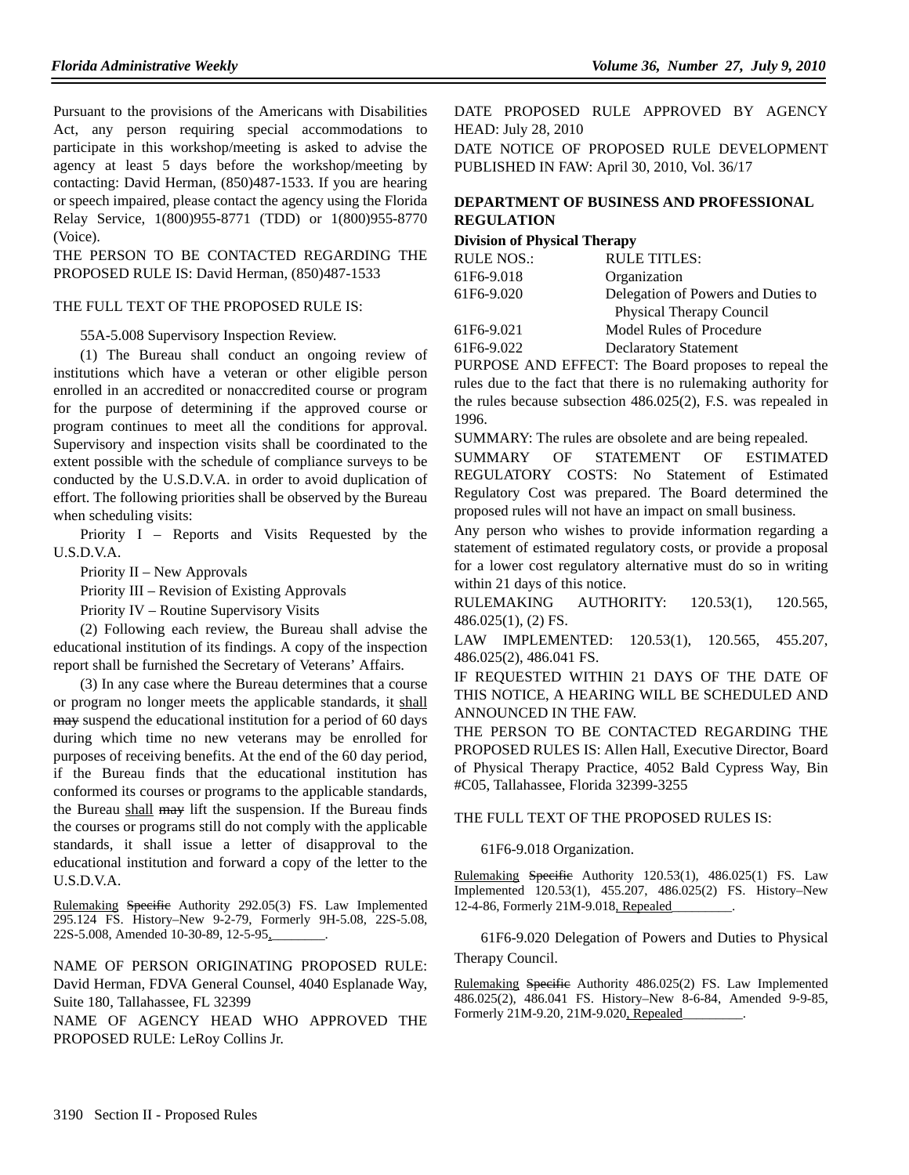Pursuant to the provisions of the Americans with Disabilities Act, any person requiring special accommodations to participate in this workshop/meeting is asked to advise the agency at least 5 days before the workshop/meeting by contacting: David Herman, (850)487-1533. If you are hearing or speech impaired, please contact the agency using the Florida Relay Service, 1(800)955-8771 (TDD) or 1(800)955-8770 (Voice).

THE PERSON TO BE CONTACTED REGARDING THE PROPOSED RULE IS: David Herman, (850)487-1533

#### THE FULL TEXT OF THE PROPOSED RULE IS:

#### 55A-5.008 Supervisory Inspection Review.

(1) The Bureau shall conduct an ongoing review of institutions which have a veteran or other eligible person enrolled in an accredited or nonaccredited course or program for the purpose of determining if the approved course or program continues to meet all the conditions for approval. Supervisory and inspection visits shall be coordinated to the extent possible with the schedule of compliance surveys to be conducted by the U.S.D.V.A. in order to avoid duplication of effort. The following priorities shall be observed by the Bureau when scheduling visits:

Priority I – Reports and Visits Requested by the U.S.D.V.A.

Priority II – New Approvals

Priority III – Revision of Existing Approvals

Priority IV – Routine Supervisory Visits

(2) Following each review, the Bureau shall advise the educational institution of its findings. A copy of the inspection report shall be furnished the Secretary of Veterans' Affairs.

(3) In any case where the Bureau determines that a course or program no longer meets the applicable standards, it shall may suspend the educational institution for a period of 60 days during which time no new veterans may be enrolled for purposes of receiving benefits. At the end of the 60 day period, if the Bureau finds that the educational institution has conformed its courses or programs to the applicable standards, the Bureau shall may lift the suspension. If the Bureau finds the courses or programs still do not comply with the applicable standards, it shall issue a letter of disapproval to the educational institution and forward a copy of the letter to the U.S.D.V.A.

Rulemaking Specific Authority 292.05(3) FS. Law Implemented 295.124 FS. History–New 9-2-79, Formerly 9H-5.08, 22S-5.08, 22S-5.008, Amended 10-30-89, 12-5-95,

NAME OF PERSON ORIGINATING PROPOSED RULE: David Herman, FDVA General Counsel, 4040 Esplanade Way, Suite 180, Tallahassee, FL 32399

NAME OF AGENCY HEAD WHO APPROVED THE PROPOSED RULE: LeRoy Collins Jr.

DATE PROPOSED RULE APPROVED BY AGENCY HEAD: July 28, 2010 DATE NOTICE OF PROPOSED RULE DEVELOPMENT PUBLISHED IN FAW: April 30, 2010, Vol. 36/17

## **DEPARTMENT OF BUSINESS AND PROFESSIONAL REGULATION**

#### **Division of Physical Therapy**

| <b>RULE NOS.:</b> | <b>RULE TITLES:</b>                |
|-------------------|------------------------------------|
| 61F6-9.018        | Organization                       |
| 61F6-9.020        | Delegation of Powers and Duties to |
|                   | <b>Physical Therapy Council</b>    |
| 61F6-9.021        | Model Rules of Procedure           |
| 61F6-9.022        | <b>Declaratory Statement</b>       |

PURPOSE AND EFFECT: The Board proposes to repeal the rules due to the fact that there is no rulemaking authority for the rules because subsection 486.025(2), F.S. was repealed in 1996.

SUMMARY: The rules are obsolete and are being repealed.

SUMMARY OF STATEMENT OF ESTIMATED REGULATORY COSTS: No Statement of Estimated Regulatory Cost was prepared. The Board determined the proposed rules will not have an impact on small business.

Any person who wishes to provide information regarding a statement of estimated regulatory costs, or provide a proposal for a lower cost regulatory alternative must do so in writing within 21 days of this notice.

RULEMAKING AUTHORITY: 120.53(1), 120.565, 486.025(1), (2) FS.

LAW IMPLEMENTED: 120.53(1), 120.565, 455.207, 486.025(2), 486.041 FS.

IF REQUESTED WITHIN 21 DAYS OF THE DATE OF THIS NOTICE, A HEARING WILL BE SCHEDULED AND ANNOUNCED IN THE FAW.

THE PERSON TO BE CONTACTED REGARDING THE PROPOSED RULES IS: Allen Hall, Executive Director, Board of Physical Therapy Practice, 4052 Bald Cypress Way, Bin #C05, Tallahassee, Florida 32399-3255

#### THE FULL TEXT OF THE PROPOSED RULES IS:

#### 61F6-9.018 Organization.

Rulemaking Specific Authority 120.53(1), 486.025(1) FS. Law Implemented 120.53(1), 455.207, 486.025(2) FS. History–New 12-4-86, Formerly 21M-9.018, Repealed\_\_\_\_\_\_\_\_\_.

61F6-9.020 Delegation of Powers and Duties to Physical Therapy Council.

Rulemaking Specific Authority 486.025(2) FS. Law Implemented 486.025(2), 486.041 FS. History–New 8-6-84, Amended 9-9-85, Formerly 21M-9.20, 21M-9.020, Repealed\_\_\_\_\_\_\_\_\_.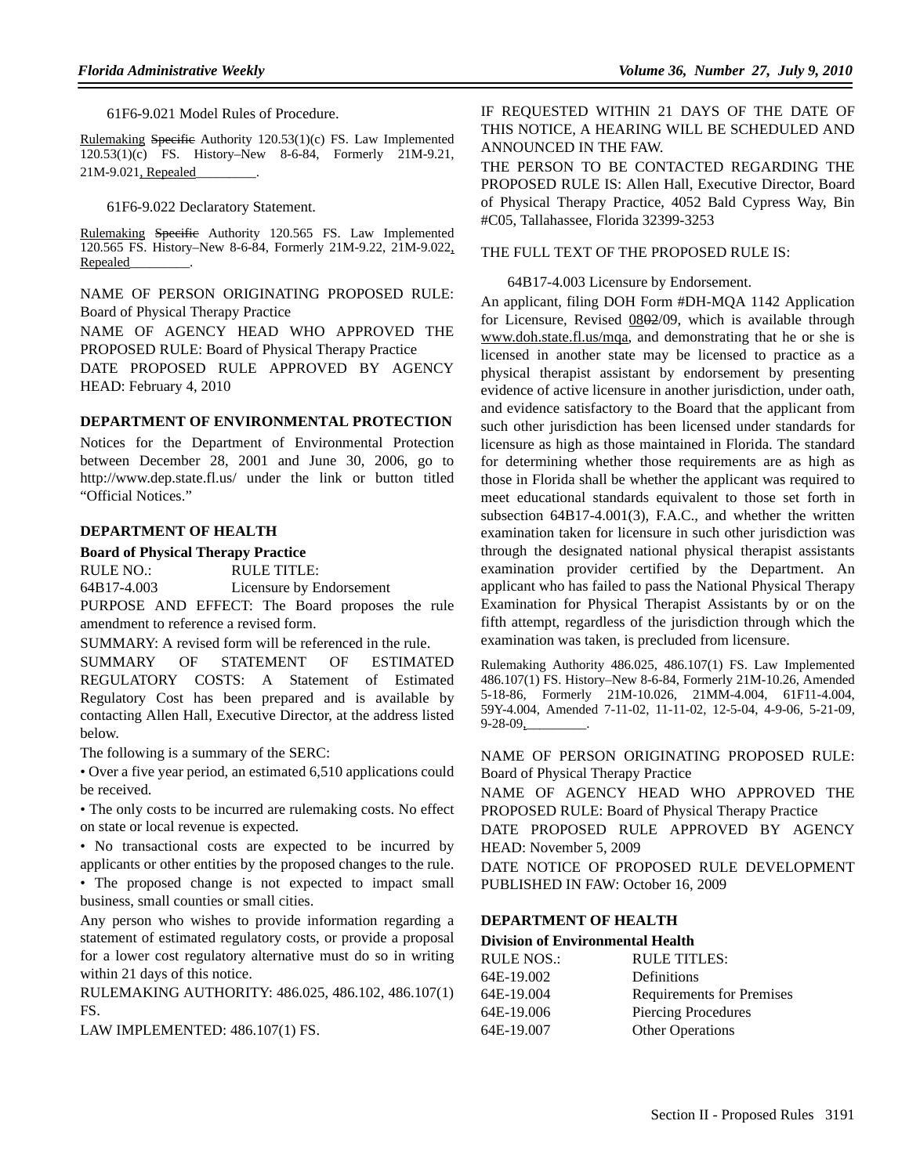61F6-9.021 Model Rules of Procedure.

Rulemaking Specific Authority 120.53(1)(c) FS. Law Implemented 120.53(1)(c) FS. History–New 8-6-84, Formerly 21M-9.21, 21M-9.021, Repealed

61F6-9.022 Declaratory Statement.

Rulemaking Specific Authority 120.565 FS. Law Implemented 120.565 FS. History–New 8-6-84, Formerly 21M-9.22, 21M-9.022, Repealed\_\_\_\_\_\_\_\_\_.

NAME OF PERSON ORIGINATING PROPOSED RULE: Board of Physical Therapy Practice NAME OF AGENCY HEAD WHO APPROVED THE PROPOSED RULE: Board of Physical Therapy Practice DATE PROPOSED RULE APPROVED BY AGENCY

HEAD: February 4, 2010

#### **DEPARTMENT OF ENVIRONMENTAL PROTECTION**

Notices for the Department of Environmental Protection between December 28, 2001 and June 30, 2006, go to http://www.dep.state.fl.us/ under the link or button titled "Official Notices."

#### **DEPARTMENT OF HEALTH**

#### **Board of Physical Therapy Practice**

RULE NO.: RULE TITLE:

64B17-4.003 Licensure by Endorsement

PURPOSE AND EFFECT: The Board proposes the rule amendment to reference a revised form.

SUMMARY: A revised form will be referenced in the rule.

SUMMARY OF STATEMENT OF ESTIMATED REGULATORY COSTS: A Statement of Estimated Regulatory Cost has been prepared and is available by contacting Allen Hall, Executive Director, at the address listed below.

The following is a summary of the SERC:

• Over a five year period, an estimated 6,510 applications could be received.

• The only costs to be incurred are rulemaking costs. No effect on state or local revenue is expected.

• No transactional costs are expected to be incurred by applicants or other entities by the proposed changes to the rule.

• The proposed change is not expected to impact small business, small counties or small cities.

Any person who wishes to provide information regarding a statement of estimated regulatory costs, or provide a proposal for a lower cost regulatory alternative must do so in writing within 21 days of this notice.

RULEMAKING AUTHORITY: 486.025, 486.102, 486.107(1) FS.

LAW IMPLEMENTED: 486.107(1) FS.

IF REQUESTED WITHIN 21 DAYS OF THE DATE OF THIS NOTICE, A HEARING WILL BE SCHEDULED AND ANNOUNCED IN THE FAW.

THE PERSON TO BE CONTACTED REGARDING THE PROPOSED RULE IS: Allen Hall, Executive Director, Board of Physical Therapy Practice, 4052 Bald Cypress Way, Bin #C05, Tallahassee, Florida 32399-3253

### THE FULL TEXT OF THE PROPOSED RULE IS:

64B17-4.003 Licensure by Endorsement.

An applicant, filing DOH Form #DH-MQA 1142 Application for Licensure, Revised  $0802/09$ , which is available through www.doh.state.fl.us/mqa, and demonstrating that he or she is licensed in another state may be licensed to practice as a physical therapist assistant by endorsement by presenting evidence of active licensure in another jurisdiction, under oath, and evidence satisfactory to the Board that the applicant from such other jurisdiction has been licensed under standards for licensure as high as those maintained in Florida. The standard for determining whether those requirements are as high as those in Florida shall be whether the applicant was required to meet educational standards equivalent to those set forth in subsection 64B17-4.001(3), F.A.C., and whether the written examination taken for licensure in such other jurisdiction was through the designated national physical therapist assistants examination provider certified by the Department. An applicant who has failed to pass the National Physical Therapy Examination for Physical Therapist Assistants by or on the fifth attempt, regardless of the jurisdiction through which the examination was taken, is precluded from licensure.

Rulemaking Authority 486.025, 486.107(1) FS. Law Implemented 486.107(1) FS. History–New 8-6-84, Formerly 21M-10.26, Amended 5-18-86, Formerly 21M-10.026, 21MM-4.004, 61F11-4.004, 59Y-4.004, Amended 7-11-02, 11-11-02, 12-5-04, 4-9-06, 5-21-09, 9-28-09.

NAME OF PERSON ORIGINATING PROPOSED RULE: Board of Physical Therapy Practice

NAME OF AGENCY HEAD WHO APPROVED THE PROPOSED RULE: Board of Physical Therapy Practice DATE PROPOSED RULE APPROVED BY AGENCY HEAD: November 5, 2009

DATE NOTICE OF PROPOSED RULE DEVELOPMENT PUBLISHED IN FAW: October 16, 2009

#### **DEPARTMENT OF HEALTH**

#### **Division of Environmental Health**

| <b>RULE NOS.:</b> | RULE TITLES:                     |
|-------------------|----------------------------------|
| 64E-19.002        | Definitions                      |
| 64E-19.004        | <b>Requirements for Premises</b> |
| 64E-19.006        | Piercing Procedures              |
| 64E-19.007        | <b>Other Operations</b>          |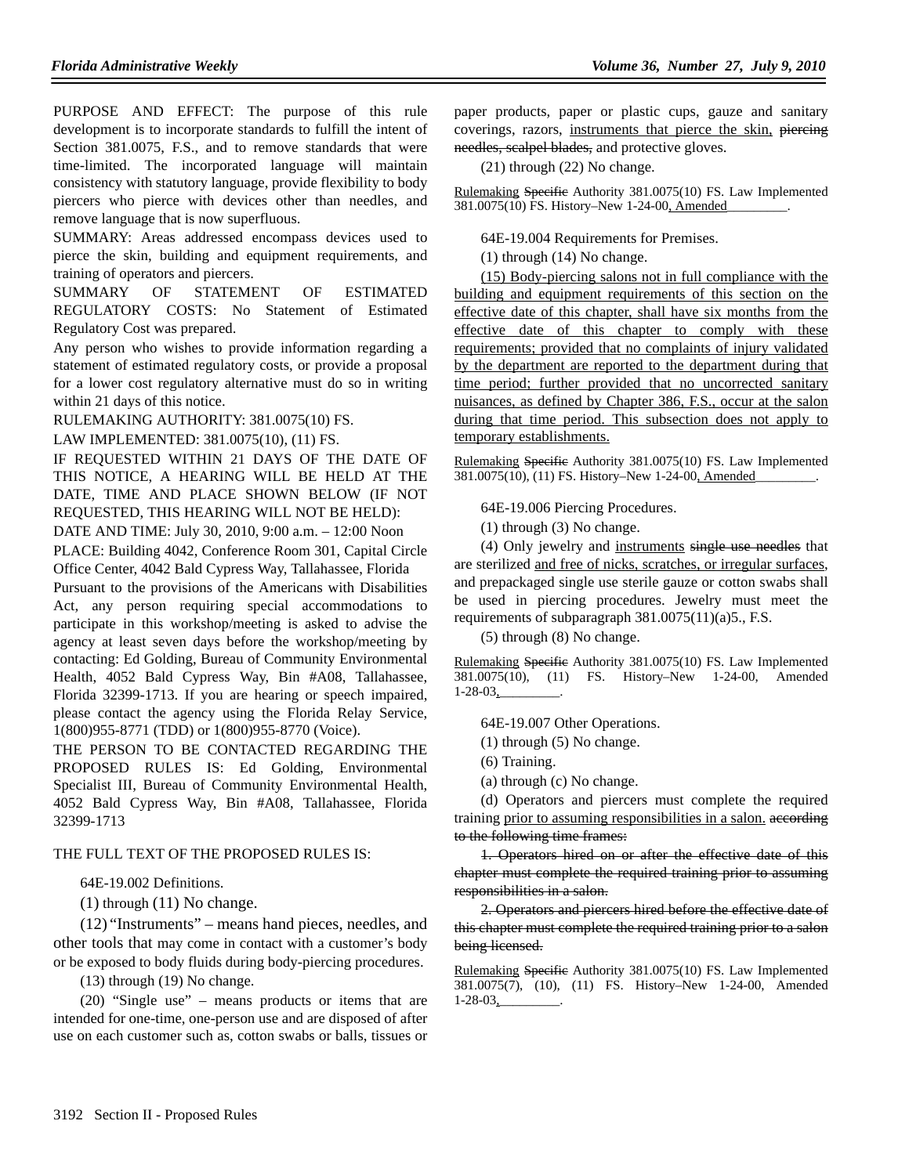PURPOSE AND EFFECT: The purpose of this rule development is to incorporate standards to fulfill the intent of Section 381.0075, F.S., and to remove standards that were time-limited. The incorporated language will maintain consistency with statutory language, provide flexibility to body piercers who pierce with devices other than needles, and remove language that is now superfluous.

SUMMARY: Areas addressed encompass devices used to pierce the skin, building and equipment requirements, and training of operators and piercers.

SUMMARY OF STATEMENT OF ESTIMATED REGULATORY COSTS: No Statement of Estimated Regulatory Cost was prepared.

Any person who wishes to provide information regarding a statement of estimated regulatory costs, or provide a proposal for a lower cost regulatory alternative must do so in writing within 21 days of this notice.

RULEMAKING AUTHORITY: 381.0075(10) FS.

LAW IMPLEMENTED: 381.0075(10), (11) FS.

IF REQUESTED WITHIN 21 DAYS OF THE DATE OF THIS NOTICE, A HEARING WILL BE HELD AT THE DATE, TIME AND PLACE SHOWN BELOW (IF NOT REQUESTED, THIS HEARING WILL NOT BE HELD): DATE AND TIME: July 30, 2010, 9:00 a.m. – 12:00 Noon

PLACE: Building 4042, Conference Room 301, Capital Circle Office Center, 4042 Bald Cypress Way, Tallahassee, Florida Pursuant to the provisions of the Americans with Disabilities

Act, any person requiring special accommodations to participate in this workshop/meeting is asked to advise the agency at least seven days before the workshop/meeting by contacting: Ed Golding, Bureau of Community Environmental Health, 4052 Bald Cypress Way, Bin #A08, Tallahassee, Florida 32399-1713. If you are hearing or speech impaired, please contact the agency using the Florida Relay Service, 1(800)955-8771 (TDD) or 1(800)955-8770 (Voice).

THE PERSON TO BE CONTACTED REGARDING THE PROPOSED RULES IS: Ed Golding, Environmental Specialist III, Bureau of Community Environmental Health, 4052 Bald Cypress Way, Bin #A08, Tallahassee, Florida 32399-1713

## THE FULL TEXT OF THE PROPOSED RULES IS:

64E-19.002 Definitions.

(1) through (11) No change.

(12) "Instruments" – means hand pieces, needles, and other tools that may come in contact with a customer's body or be exposed to body fluids during body-piercing procedures.

(13) through (19) No change.

(20) "Single use" – means products or items that are intended for one-time, one-person use and are disposed of after use on each customer such as, cotton swabs or balls, tissues or paper products, paper or plastic cups, gauze and sanitary coverings, razors, instruments that pierce the skin, piercing needles, scalpel blades, and protective gloves.

(21) through (22) No change.

Rulemaking Specific Authority 381.0075(10) FS. Law Implemented 381.0075(10) FS. History-New 1-24-00, Amended

64E-19.004 Requirements for Premises.

(1) through (14) No change.

(15) Body-piercing salons not in full compliance with the building and equipment requirements of this section on the effective date of this chapter, shall have six months from the effective date of this chapter to comply with these requirements; provided that no complaints of injury validated by the department are reported to the department during that time period; further provided that no uncorrected sanitary nuisances, as defined by Chapter 386, F.S., occur at the salon during that time period. This subsection does not apply to temporary establishments.

Rulemaking Specific Authority 381.0075(10) FS. Law Implemented 381.0075(10), (11) FS. History–New 1-24-00, Amended

64E-19.006 Piercing Procedures.

(1) through (3) No change.

(4) Only jewelry and instruments single use needles that are sterilized and free of nicks, scratches, or irregular surfaces, and prepackaged single use sterile gauze or cotton swabs shall be used in piercing procedures. Jewelry must meet the requirements of subparagraph 381.0075(11)(a)5., F.S.

(5) through (8) No change.

Rulemaking Specific Authority 381.0075(10) FS. Law Implemented 381.0075(10), (11) FS. History–New 1-24-00, Amended  $1-28-03$ 

64E-19.007 Other Operations.

- (1) through (5) No change.
- (6) Training.
- (a) through (c) No change.

(d) Operators and piercers must complete the required training prior to assuming responsibilities in a salon. according to the following time frames:

1. Operators hired on or after the effective date of this chapter must complete the required training prior to assuming responsibilities in a salon.

2. Operators and piercers hired before the effective date of this chapter must complete the required training prior to a salon being licensed.

Rulemaking Specific Authority 381.0075(10) FS. Law Implemented 381.0075(7), (10), (11) FS. History–New 1-24-00, Amended  $1-28-03$ ,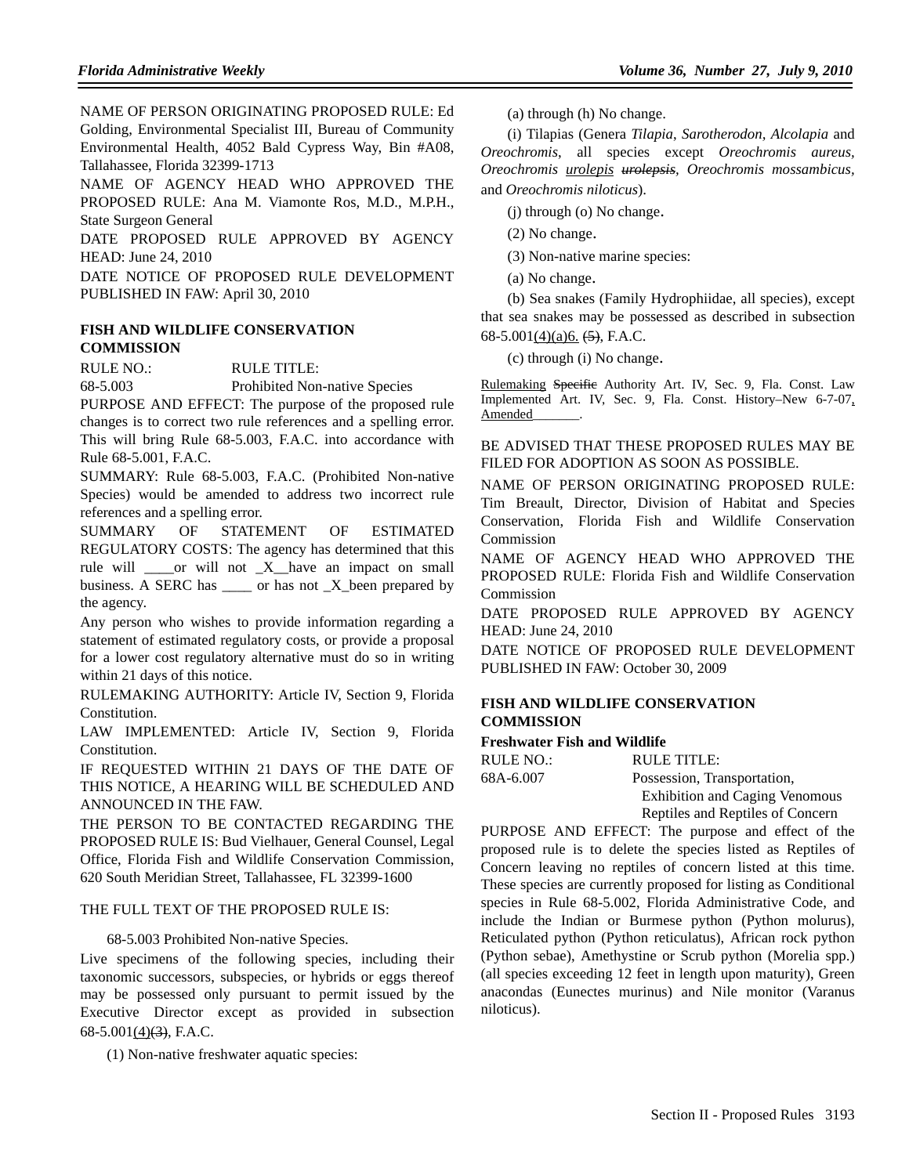NAME OF PERSON ORIGINATING PROPOSED RULE: Ed Golding, Environmental Specialist III, Bureau of Community Environmental Health, 4052 Bald Cypress Way, Bin #A08, Tallahassee, Florida 32399-1713

NAME OF AGENCY HEAD WHO APPROVED THE PROPOSED RULE: Ana M. Viamonte Ros, M.D., M.P.H., State Surgeon General

DATE PROPOSED RULE APPROVED BY AGENCY HEAD: June 24, 2010

DATE NOTICE OF PROPOSED RULE DEVELOPMENT PUBLISHED IN FAW: April 30, 2010

## **FISH AND WILDLIFE CONSERVATION COMMISSION**

RULE NO.: RULE TITLE:

68-5.003 Prohibited Non-native Species

PURPOSE AND EFFECT: The purpose of the proposed rule changes is to correct two rule references and a spelling error. This will bring Rule 68-5.003, F.A.C. into accordance with Rule 68-5.001, F.A.C.

SUMMARY: Rule 68-5.003, F.A.C. (Prohibited Non-native Species) would be amended to address two incorrect rule references and a spelling error.

SUMMARY OF STATEMENT OF ESTIMATED REGULATORY COSTS: The agency has determined that this rule will \_\_\_\_or will not \_X\_\_have an impact on small business. A SERC has \_\_\_\_ or has not \_X\_been prepared by the agency.

Any person who wishes to provide information regarding a statement of estimated regulatory costs, or provide a proposal for a lower cost regulatory alternative must do so in writing within 21 days of this notice.

RULEMAKING AUTHORITY: Article IV, Section 9, Florida Constitution.

LAW IMPLEMENTED: Article IV, Section 9, Florida Constitution.

IF REQUESTED WITHIN 21 DAYS OF THE DATE OF THIS NOTICE, A HEARING WILL BE SCHEDULED AND ANNOUNCED IN THE FAW.

THE PERSON TO BE CONTACTED REGARDING THE PROPOSED RULE IS: Bud Vielhauer, General Counsel, Legal Office, Florida Fish and Wildlife Conservation Commission, 620 South Meridian Street, Tallahassee, FL 32399-1600

## THE FULL TEXT OF THE PROPOSED RULE IS:

68-5.003 Prohibited Non-native Species.

Live specimens of the following species, including their taxonomic successors, subspecies, or hybrids or eggs thereof may be possessed only pursuant to permit issued by the Executive Director except as provided in subsection  $68-5.001(4)$  $\rightarrow$ , F.A.C.

(1) Non-native freshwater aquatic species:

(a) through (h) No change.

(i) Tilapias (Genera *Tilapia*, *Sarotherodon, Alcolapia* and *Oreochromis*, all species except *Oreochromis aureus, Oreochromis urolepis urolepsis, Oreochromis mossambicus,* and *Oreochromis niloticus*).

(j) through (o) No change.

(2) No change.

(3) Non-native marine species:

(a) No change.

(b) Sea snakes (Family Hydrophiidae, all species), except that sea snakes may be possessed as described in subsection 68-5.001 $(4)(a)6$ .  $(5)$ , F.A.C.

(c) through (i) No change.

Rulemaking Specific Authority Art. IV, Sec. 9, Fla. Const. Law Implemented Art. IV, Sec. 9, Fla. Const. History–New 6-7-07, Amended\_\_\_\_\_\_\_\_.

## BE ADVISED THAT THESE PROPOSED RULES MAY BE FILED FOR ADOPTION AS SOON AS POSSIBLE.

NAME OF PERSON ORIGINATING PROPOSED RULE: Tim Breault, Director, Division of Habitat and Species Conservation, Florida Fish and Wildlife Conservation Commission

NAME OF AGENCY HEAD WHO APPROVED THE PROPOSED RULE: Florida Fish and Wildlife Conservation Commission

DATE PROPOSED RULE APPROVED BY AGENCY HEAD: June 24, 2010

DATE NOTICE OF PROPOSED RULE DEVELOPMENT PUBLISHED IN FAW: October 30, 2009

## **FISH AND WILDLIFE CONSERVATION COMMISSION**

## **Freshwater Fish and Wildlife**

| RULE NO.: | RULE TITLE:                           |
|-----------|---------------------------------------|
| 68A-6.007 | Possession, Transportation,           |
|           | <b>Exhibition and Caging Venomous</b> |
|           | Reptiles and Reptiles of Concern      |

PURPOSE AND EFFECT: The purpose and effect of the proposed rule is to delete the species listed as Reptiles of Concern leaving no reptiles of concern listed at this time. These species are currently proposed for listing as Conditional species in Rule 68-5.002, Florida Administrative Code, and include the Indian or Burmese python (Python molurus), Reticulated python (Python reticulatus), African rock python (Python sebae), Amethystine or Scrub python (Morelia spp.) (all species exceeding 12 feet in length upon maturity), Green anacondas (Eunectes murinus) and Nile monitor (Varanus niloticus).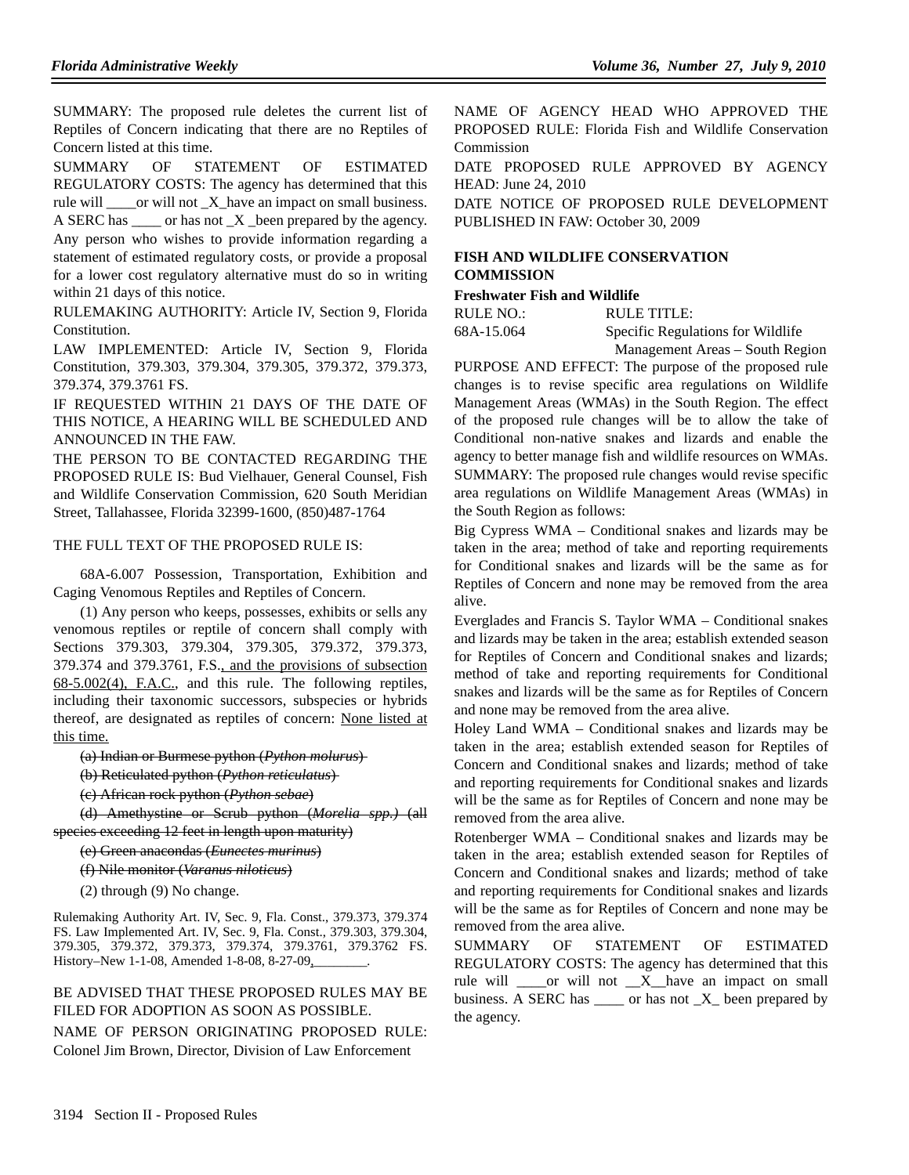SUMMARY: The proposed rule deletes the current list of Reptiles of Concern indicating that there are no Reptiles of Concern listed at this time.

SUMMARY OF STATEMENT OF ESTIMATED REGULATORY COSTS: The agency has determined that this rule will \_\_\_\_or will not \_X\_have an impact on small business. A SERC has \_\_\_\_\_ or has not \_X \_been prepared by the agency.

Any person who wishes to provide information regarding a statement of estimated regulatory costs, or provide a proposal for a lower cost regulatory alternative must do so in writing within 21 days of this notice.

RULEMAKING AUTHORITY: Article IV, Section 9, Florida Constitution.

LAW IMPLEMENTED: Article IV, Section 9, Florida Constitution, 379.303, 379.304, 379.305, 379.372, 379.373, 379.374, 379.3761 FS.

IF REQUESTED WITHIN 21 DAYS OF THE DATE OF THIS NOTICE, A HEARING WILL BE SCHEDULED AND ANNOUNCED IN THE FAW.

THE PERSON TO BE CONTACTED REGARDING THE PROPOSED RULE IS: Bud Vielhauer, General Counsel, Fish and Wildlife Conservation Commission, 620 South Meridian Street, Tallahassee, Florida 32399-1600, (850)487-1764

#### THE FULL TEXT OF THE PROPOSED RULE IS:

68A-6.007 Possession, Transportation, Exhibition and Caging Venomous Reptiles and Reptiles of Concern.

(1) Any person who keeps, possesses, exhibits or sells any venomous reptiles or reptile of concern shall comply with Sections 379.303, 379.304, 379.305, 379.372, 379.373, 379.374 and 379.3761, F.S., and the provisions of subsection 68-5.002(4), F.A.C., and this rule. The following reptiles, including their taxonomic successors, subspecies or hybrids thereof, are designated as reptiles of concern: None listed at this time.

(a) Indian or Burmese python (*Python molurus*)

(b) Reticulated python (*Python reticulatus*)

(c) African rock python (*Python sebae*)

(d) Amethystine or Scrub python (*Morelia spp.)* (all species exceeding 12 feet in length upon maturity)

(e) Green anacondas (*Eunectes murinus*)

(f) Nile monitor (*Varanus niloticus*)

(2) through (9) No change.

Rulemaking Authority Art. IV, Sec. 9, Fla. Const., 379.373, 379.374 FS. Law Implemented Art. IV, Sec. 9, Fla. Const., 379.303, 379.304, 379.305, 379.372, 379.373, 379.374, 379.3761, 379.3762 FS. History–New 1-1-08, Amended 1-8-08, 8-27-09,

#### BE ADVISED THAT THESE PROPOSED RULES MAY BE FILED FOR ADOPTION AS SOON AS POSSIBLE.

NAME OF PERSON ORIGINATING PROPOSED RULE: Colonel Jim Brown, Director, Division of Law Enforcement

NAME OF AGENCY HEAD WHO APPROVED THE PROPOSED RULE: Florida Fish and Wildlife Conservation Commission

DATE PROPOSED RULE APPROVED BY AGENCY HEAD: June 24, 2010

DATE NOTICE OF PROPOSED RULE DEVELOPMENT PUBLISHED IN FAW: October 30, 2009

## **FISH AND WILDLIFE CONSERVATION COMMISSION**

## **Freshwater Fish and Wildlife**

RULE NO.: RULE TITLE:

68A-15.064 Specific Regulations for Wildlife Management Areas – South Region

PURPOSE AND EFFECT: The purpose of the proposed rule changes is to revise specific area regulations on Wildlife Management Areas (WMAs) in the South Region. The effect of the proposed rule changes will be to allow the take of Conditional non-native snakes and lizards and enable the agency to better manage fish and wildlife resources on WMAs. SUMMARY: The proposed rule changes would revise specific area regulations on Wildlife Management Areas (WMAs) in the South Region as follows:

Big Cypress WMA – Conditional snakes and lizards may be taken in the area; method of take and reporting requirements for Conditional snakes and lizards will be the same as for Reptiles of Concern and none may be removed from the area alive.

Everglades and Francis S. Taylor WMA – Conditional snakes and lizards may be taken in the area; establish extended season for Reptiles of Concern and Conditional snakes and lizards; method of take and reporting requirements for Conditional snakes and lizards will be the same as for Reptiles of Concern and none may be removed from the area alive.

Holey Land WMA – Conditional snakes and lizards may be taken in the area; establish extended season for Reptiles of Concern and Conditional snakes and lizards; method of take and reporting requirements for Conditional snakes and lizards will be the same as for Reptiles of Concern and none may be removed from the area alive.

Rotenberger WMA – Conditional snakes and lizards may be taken in the area; establish extended season for Reptiles of Concern and Conditional snakes and lizards; method of take and reporting requirements for Conditional snakes and lizards will be the same as for Reptiles of Concern and none may be removed from the area alive.

SUMMARY OF STATEMENT OF ESTIMATED REGULATORY COSTS: The agency has determined that this rule will \_\_\_\_or will not \_\_X\_\_have an impact on small business. A SERC has  $\qquad$  or has not  $X$  been prepared by the agency.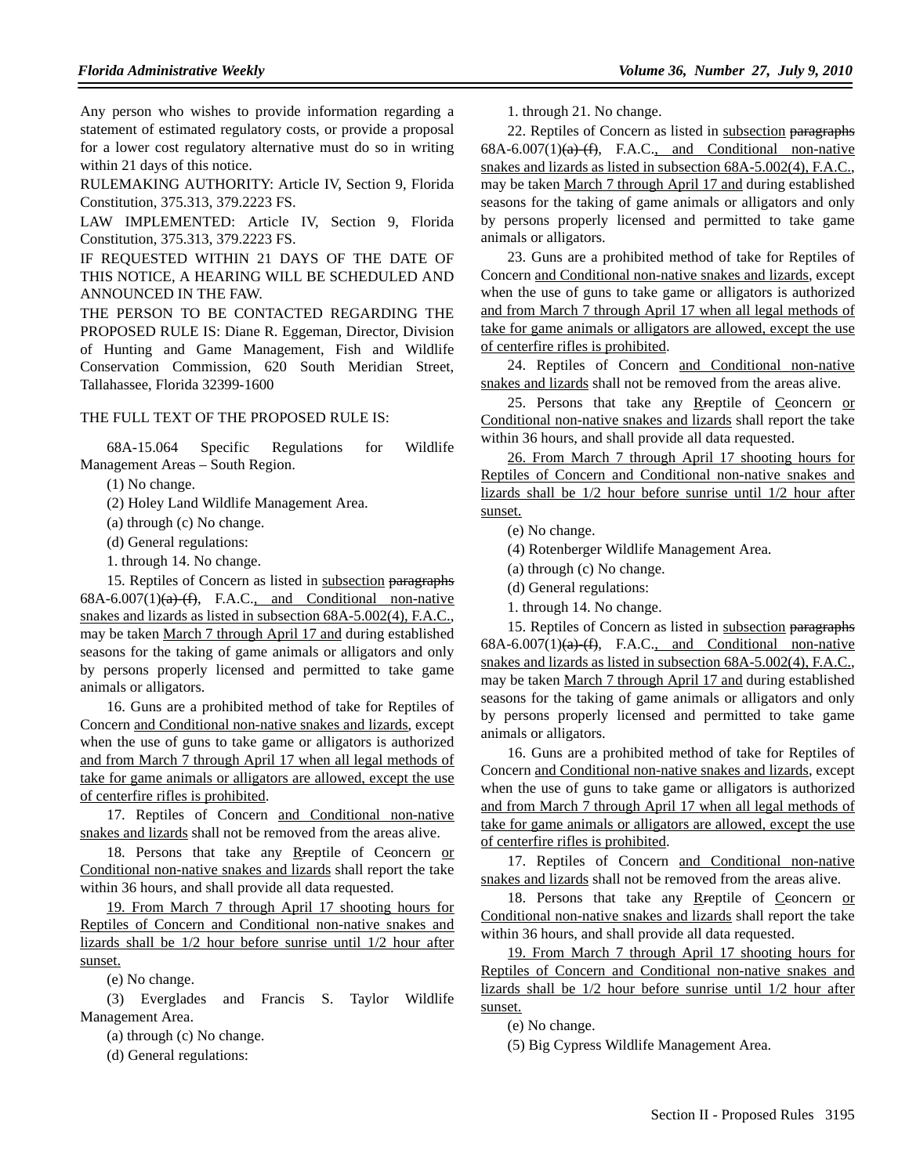Any person who wishes to provide information regarding a statement of estimated regulatory costs, or provide a proposal for a lower cost regulatory alternative must do so in writing within 21 days of this notice.

RULEMAKING AUTHORITY: Article IV, Section 9, Florida Constitution, 375.313, 379.2223 FS.

LAW IMPLEMENTED: Article IV, Section 9, Florida Constitution, 375.313, 379.2223 FS.

IF REQUESTED WITHIN 21 DAYS OF THE DATE OF THIS NOTICE, A HEARING WILL BE SCHEDULED AND ANNOUNCED IN THE FAW.

THE PERSON TO BE CONTACTED REGARDING THE PROPOSED RULE IS: Diane R. Eggeman, Director, Division of Hunting and Game Management, Fish and Wildlife Conservation Commission, 620 South Meridian Street, Tallahassee, Florida 32399-1600

## THE FULL TEXT OF THE PROPOSED RULE IS:

68A-15.064 Specific Regulations for Wildlife Management Areas – South Region.

(1) No change.

(2) Holey Land Wildlife Management Area.

(a) through (c) No change.

(d) General regulations:

1. through 14. No change.

15. Reptiles of Concern as listed in subsection paragraphs  $68A-6.007(1)(a)$   $(f)$ , F.A.C., and Conditional non-native snakes and lizards as listed in subsection 68A-5.002(4), F.A.C., may be taken March 7 through April 17 and during established seasons for the taking of game animals or alligators and only by persons properly licensed and permitted to take game animals or alligators.

16. Guns are a prohibited method of take for Reptiles of Concern and Conditional non-native snakes and lizards, except when the use of guns to take game or alligators is authorized and from March 7 through April 17 when all legal methods of take for game animals or alligators are allowed, except the use of centerfire rifles is prohibited.

17. Reptiles of Concern and Conditional non-native snakes and lizards shall not be removed from the areas alive.

18. Persons that take any Rreptile of Ceoncern or Conditional non-native snakes and lizards shall report the take within 36 hours, and shall provide all data requested.

19. From March 7 through April 17 shooting hours for Reptiles of Concern and Conditional non-native snakes and lizards shall be 1/2 hour before sunrise until 1/2 hour after sunset.

(e) No change.

(3) Everglades and Francis S. Taylor Wildlife Management Area.

(a) through (c) No change.

(d) General regulations:

1. through 21. No change.

22. Reptiles of Concern as listed in subsection paragraphs  $68A-6.007(1)(a)$  (f), F.A.C., and Conditional non-native snakes and lizards as listed in subsection 68A-5.002(4), F.A.C., may be taken March 7 through April 17 and during established seasons for the taking of game animals or alligators and only by persons properly licensed and permitted to take game animals or alligators.

23. Guns are a prohibited method of take for Reptiles of Concern and Conditional non-native snakes and lizards, except when the use of guns to take game or alligators is authorized and from March 7 through April 17 when all legal methods of take for game animals or alligators are allowed, except the use of centerfire rifles is prohibited.

24. Reptiles of Concern and Conditional non-native snakes and lizards shall not be removed from the areas alive.

25. Persons that take any Reeptile of Ceoncern or Conditional non-native snakes and lizards shall report the take within 36 hours, and shall provide all data requested.

26. From March 7 through April 17 shooting hours for Reptiles of Concern and Conditional non-native snakes and lizards shall be 1/2 hour before sunrise until 1/2 hour after sunset.

(e) No change.

(4) Rotenberger Wildlife Management Area.

(a) through (c) No change.

(d) General regulations:

1. through 14. No change.

15. Reptiles of Concern as listed in subsection paragraphs  $68A-6.007(1)(a)$  $(f)$ , F.A.C., and Conditional non-native snakes and lizards as listed in subsection 68A-5.002(4), F.A.C., may be taken March 7 through April 17 and during established seasons for the taking of game animals or alligators and only by persons properly licensed and permitted to take game animals or alligators.

16. Guns are a prohibited method of take for Reptiles of Concern and Conditional non-native snakes and lizards, except when the use of guns to take game or alligators is authorized and from March 7 through April 17 when all legal methods of take for game animals or alligators are allowed, except the use of centerfire rifles is prohibited.

17. Reptiles of Concern and Conditional non-native snakes and lizards shall not be removed from the areas alive.

18. Persons that take any Rreptile of Ceoncern or Conditional non-native snakes and lizards shall report the take within 36 hours, and shall provide all data requested.

19. From March 7 through April 17 shooting hours for Reptiles of Concern and Conditional non-native snakes and lizards shall be 1/2 hour before sunrise until 1/2 hour after sunset.

(e) No change.

(5) Big Cypress Wildlife Management Area.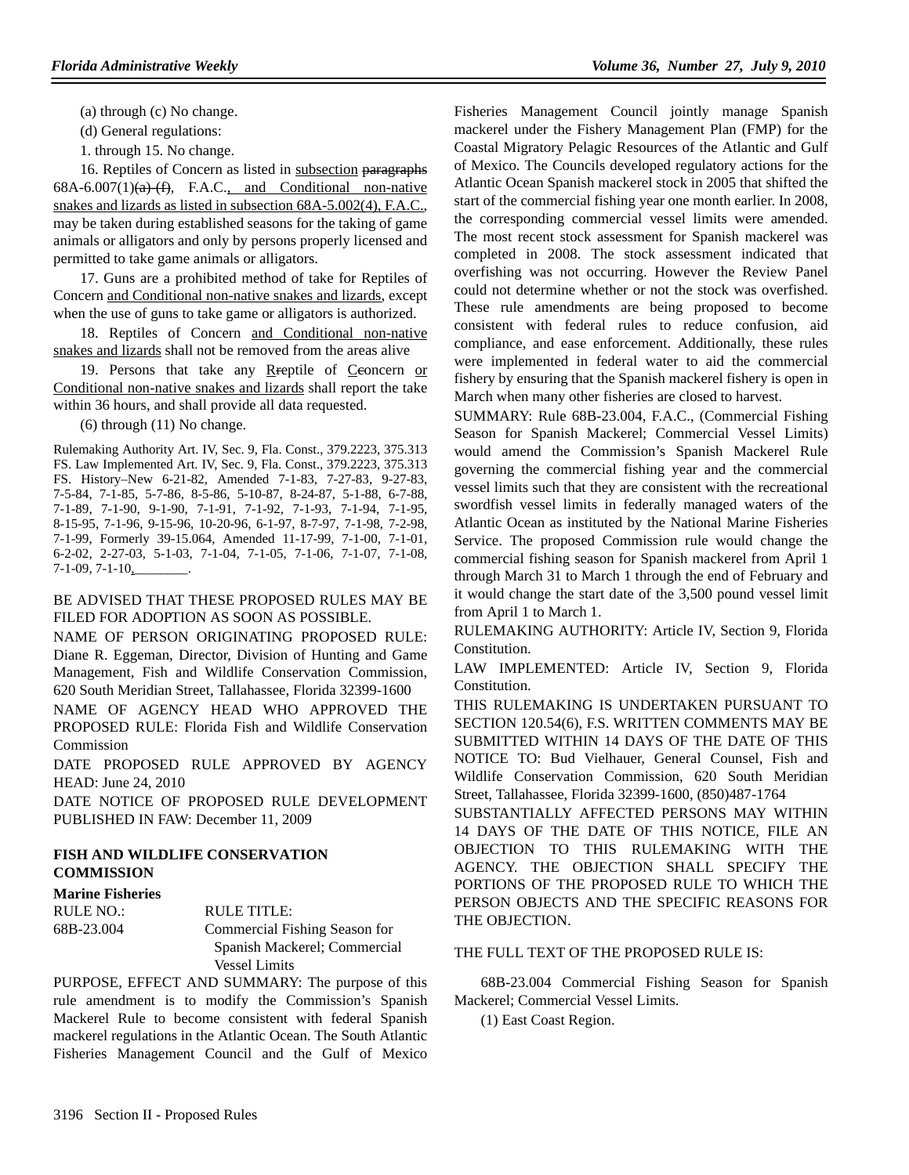(a) through (c) No change.

(d) General regulations:

1. through 15. No change.

16. Reptiles of Concern as listed in subsection paragraphs  $68A-6.007(1)(a)$   $(f)$ , F.A.C., and Conditional non-native snakes and lizards as listed in subsection 68A-5.002(4), F.A.C., may be taken during established seasons for the taking of game animals or alligators and only by persons properly licensed and permitted to take game animals or alligators.

17. Guns are a prohibited method of take for Reptiles of Concern and Conditional non-native snakes and lizards, except when the use of guns to take game or alligators is authorized.

18. Reptiles of Concern and Conditional non-native snakes and lizards shall not be removed from the areas alive

19. Persons that take any Rreptile of Ceoncern or Conditional non-native snakes and lizards shall report the take within 36 hours, and shall provide all data requested.

(6) through (11) No change.

Rulemaking Authority Art. IV, Sec. 9, Fla. Const., 379.2223, 375.313 FS. Law Implemented Art. IV, Sec. 9, Fla. Const., 379.2223, 375.313 FS. History–New 6-21-82, Amended 7-1-83, 7-27-83, 9-27-83, 7-5-84, 7-1-85, 5-7-86, 8-5-86, 5-10-87, 8-24-87, 5-1-88, 6-7-88, 7-1-89, 7-1-90, 9-1-90, 7-1-91, 7-1-92, 7-1-93, 7-1-94, 7-1-95, 8-15-95, 7-1-96, 9-15-96, 10-20-96, 6-1-97, 8-7-97, 7-1-98, 7-2-98, 7-1-99, Formerly 39-15.064, Amended 11-17-99, 7-1-00, 7-1-01, 6-2-02, 2-27-03, 5-1-03, 7-1-04, 7-1-05, 7-1-06, 7-1-07, 7-1-08,  $7-1-09$ ,  $7-1-10$ ,

## BE ADVISED THAT THESE PROPOSED RULES MAY BE FILED FOR ADOPTION AS SOON AS POSSIBLE.

NAME OF PERSON ORIGINATING PROPOSED RULE: Diane R. Eggeman, Director, Division of Hunting and Game Management, Fish and Wildlife Conservation Commission, 620 South Meridian Street, Tallahassee, Florida 32399-1600

NAME OF AGENCY HEAD WHO APPROVED THE PROPOSED RULE: Florida Fish and Wildlife Conservation Commission

DATE PROPOSED RULE APPROVED BY AGENCY HEAD: June 24, 2010

DATE NOTICE OF PROPOSED RULE DEVELOPMENT PUBLISHED IN FAW: December 11, 2009

## **FISH AND WILDLIFE CONSERVATION COMMISSION**

## **Marine Fisheries**

| RULE NO.:  | RULE TITLE:                   |
|------------|-------------------------------|
| 68B-23.004 | Commercial Fishing Season for |
|            | Spanish Mackerel; Commercial  |
|            | <b>Vessel Limits</b>          |

PURPOSE, EFFECT AND SUMMARY: The purpose of this rule amendment is to modify the Commission's Spanish Mackerel Rule to become consistent with federal Spanish mackerel regulations in the Atlantic Ocean. The South Atlantic Fisheries Management Council and the Gulf of Mexico Fisheries Management Council jointly manage Spanish mackerel under the Fishery Management Plan (FMP) for the Coastal Migratory Pelagic Resources of the Atlantic and Gulf of Mexico. The Councils developed regulatory actions for the Atlantic Ocean Spanish mackerel stock in 2005 that shifted the start of the commercial fishing year one month earlier. In 2008, the corresponding commercial vessel limits were amended. The most recent stock assessment for Spanish mackerel was completed in 2008. The stock assessment indicated that overfishing was not occurring. However the Review Panel could not determine whether or not the stock was overfished. These rule amendments are being proposed to become consistent with federal rules to reduce confusion, aid compliance, and ease enforcement. Additionally, these rules were implemented in federal water to aid the commercial fishery by ensuring that the Spanish mackerel fishery is open in March when many other fisheries are closed to harvest.

SUMMARY: Rule 68B-23.004, F.A.C., (Commercial Fishing Season for Spanish Mackerel; Commercial Vessel Limits) would amend the Commission's Spanish Mackerel Rule governing the commercial fishing year and the commercial vessel limits such that they are consistent with the recreational swordfish vessel limits in federally managed waters of the Atlantic Ocean as instituted by the National Marine Fisheries Service. The proposed Commission rule would change the commercial fishing season for Spanish mackerel from April 1 through March 31 to March 1 through the end of February and it would change the start date of the 3,500 pound vessel limit from April 1 to March 1.

RULEMAKING AUTHORITY: Article IV, Section 9, Florida Constitution.

LAW IMPLEMENTED: Article IV, Section 9, Florida Constitution.

THIS RULEMAKING IS UNDERTAKEN PURSUANT TO SECTION 120.54(6), F.S. WRITTEN COMMENTS MAY BE SUBMITTED WITHIN 14 DAYS OF THE DATE OF THIS NOTICE TO: Bud Vielhauer, General Counsel, Fish and Wildlife Conservation Commission, 620 South Meridian Street, Tallahassee, Florida 32399-1600, (850)487-1764

SUBSTANTIALLY AFFECTED PERSONS MAY WITHIN 14 DAYS OF THE DATE OF THIS NOTICE, FILE AN OBJECTION TO THIS RULEMAKING WITH THE AGENCY. THE OBJECTION SHALL SPECIFY THE PORTIONS OF THE PROPOSED RULE TO WHICH THE PERSON OBJECTS AND THE SPECIFIC REASONS FOR THE OBJECTION.

## THE FULL TEXT OF THE PROPOSED RULE IS:

68B-23.004 Commercial Fishing Season for Spanish Mackerel; Commercial Vessel Limits.

(1) East Coast Region.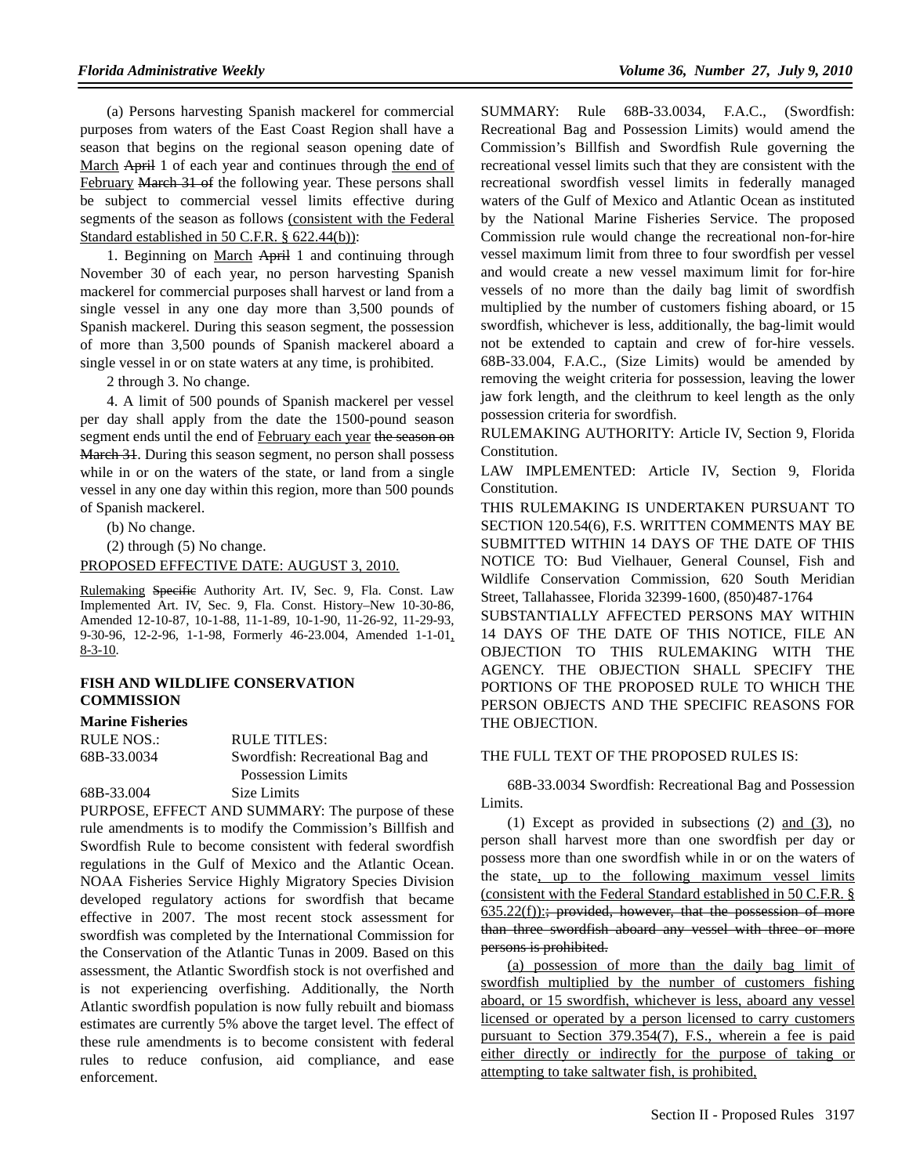(a) Persons harvesting Spanish mackerel for commercial purposes from waters of the East Coast Region shall have a season that begins on the regional season opening date of March April 1 of each year and continues through the end of February March 31 of the following year. These persons shall be subject to commercial vessel limits effective during segments of the season as follows (consistent with the Federal Standard established in 50 C.F.R. § 622.44(b)):

1. Beginning on March April 1 and continuing through November 30 of each year, no person harvesting Spanish mackerel for commercial purposes shall harvest or land from a single vessel in any one day more than 3,500 pounds of Spanish mackerel. During this season segment, the possession of more than 3,500 pounds of Spanish mackerel aboard a single vessel in or on state waters at any time, is prohibited.

2 through 3. No change.

4. A limit of 500 pounds of Spanish mackerel per vessel per day shall apply from the date the 1500-pound season segment ends until the end of February each year the season on March 31. During this season segment, no person shall possess while in or on the waters of the state, or land from a single vessel in any one day within this region, more than 500 pounds of Spanish mackerel.

(b) No change.

(2) through (5) No change.

PROPOSED EFFECTIVE DATE: AUGUST 3, 2010.

Rulemaking Specific Authority Art. IV, Sec. 9, Fla. Const. Law Implemented Art. IV, Sec. 9, Fla. Const. History–New 10-30-86, Amended 12-10-87, 10-1-88, 11-1-89, 10-1-90, 11-26-92, 11-29-93, 9-30-96, 12-2-96, 1-1-98, Formerly 46-23.004, Amended 1-1-01, 8-3-10.

#### **FISH AND WILDLIFE CONSERVATION COMMISSION**

#### **Marine Fisheries**

| RULE NOS.:  | RULE TITLES:                    |
|-------------|---------------------------------|
| 68B-33.0034 | Swordfish: Recreational Bag and |
|             | Possession Limits               |
| 68B-33.004  | Size Limits                     |

PURPOSE, EFFECT AND SUMMARY: The purpose of these rule amendments is to modify the Commission's Billfish and Swordfish Rule to become consistent with federal swordfish regulations in the Gulf of Mexico and the Atlantic Ocean. NOAA Fisheries Service Highly Migratory Species Division developed regulatory actions for swordfish that became effective in 2007. The most recent stock assessment for swordfish was completed by the International Commission for the Conservation of the Atlantic Tunas in 2009. Based on this assessment, the Atlantic Swordfish stock is not overfished and is not experiencing overfishing. Additionally, the North Atlantic swordfish population is now fully rebuilt and biomass estimates are currently 5% above the target level. The effect of these rule amendments is to become consistent with federal rules to reduce confusion, aid compliance, and ease enforcement.

SUMMARY: Rule 68B-33.0034, F.A.C., (Swordfish: Recreational Bag and Possession Limits) would amend the Commission's Billfish and Swordfish Rule governing the recreational vessel limits such that they are consistent with the recreational swordfish vessel limits in federally managed waters of the Gulf of Mexico and Atlantic Ocean as instituted by the National Marine Fisheries Service. The proposed Commission rule would change the recreational non-for-hire vessel maximum limit from three to four swordfish per vessel and would create a new vessel maximum limit for for-hire vessels of no more than the daily bag limit of swordfish multiplied by the number of customers fishing aboard, or 15 swordfish, whichever is less, additionally, the bag-limit would not be extended to captain and crew of for-hire vessels. 68B-33.004, F.A.C., (Size Limits) would be amended by removing the weight criteria for possession, leaving the lower jaw fork length, and the cleithrum to keel length as the only possession criteria for swordfish.

RULEMAKING AUTHORITY: Article IV, Section 9, Florida Constitution.

LAW IMPLEMENTED: Article IV, Section 9, Florida Constitution.

THIS RULEMAKING IS UNDERTAKEN PURSUANT TO SECTION 120.54(6), F.S. WRITTEN COMMENTS MAY BE SUBMITTED WITHIN 14 DAYS OF THE DATE OF THIS NOTICE TO: Bud Vielhauer, General Counsel, Fish and Wildlife Conservation Commission, 620 South Meridian Street, Tallahassee, Florida 32399-1600, (850)487-1764

SUBSTANTIALLY AFFECTED PERSONS MAY WITHIN 14 DAYS OF THE DATE OF THIS NOTICE, FILE AN OBJECTION TO THIS RULEMAKING WITH THE AGENCY. THE OBJECTION SHALL SPECIFY THE PORTIONS OF THE PROPOSED RULE TO WHICH THE PERSON OBJECTS AND THE SPECIFIC REASONS FOR THE OBJECTION.

#### THE FULL TEXT OF THE PROPOSED RULES IS:

68B-33.0034 Swordfish: Recreational Bag and Possession Limits.

(1) Except as provided in subsections  $(2)$  and  $(3)$ , no person shall harvest more than one swordfish per day or possess more than one swordfish while in or on the waters of the state, up to the following maximum vessel limits (consistent with the Federal Standard established in 50 C.F.R. § 635.22(f)):; provided, however, that the possession of more than three swordfish aboard any vessel with three or more persons is prohibited.

(a) possession of more than the daily bag limit of swordfish multiplied by the number of customers fishing aboard, or 15 swordfish, whichever is less, aboard any vessel licensed or operated by a person licensed to carry customers pursuant to Section 379.354(7), F.S., wherein a fee is paid either directly or indirectly for the purpose of taking or attempting to take saltwater fish, is prohibited,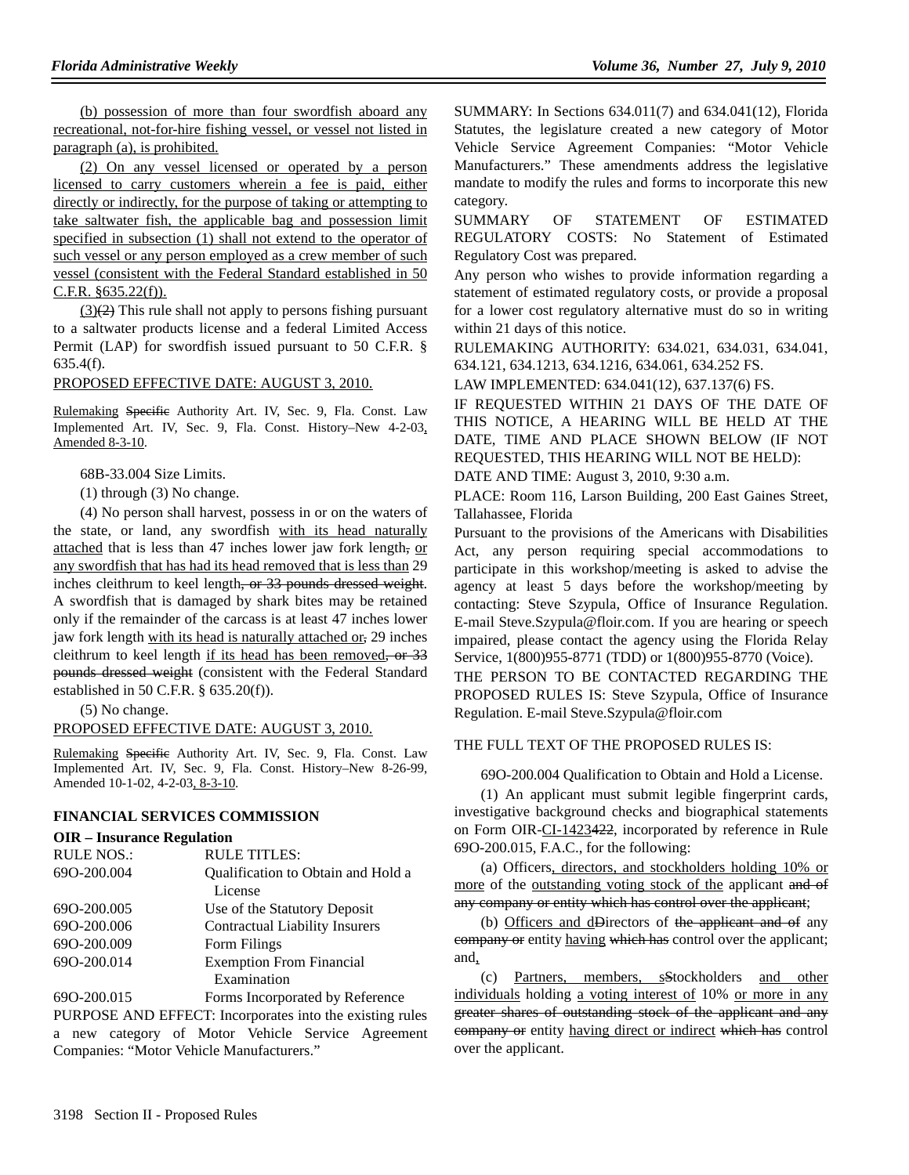(b) possession of more than four swordfish aboard any recreational, not-for-hire fishing vessel, or vessel not listed in paragraph (a), is prohibited.

(2) On any vessel licensed or operated by a person licensed to carry customers wherein a fee is paid, either directly or indirectly, for the purpose of taking or attempting to take saltwater fish, the applicable bag and possession limit specified in subsection (1) shall not extend to the operator of such vessel or any person employed as a crew member of such vessel (consistent with the Federal Standard established in 50 C.F.R. §635.22(f)).

 $(3)(2)$  This rule shall not apply to persons fishing pursuant to a saltwater products license and a federal Limited Access Permit (LAP) for swordfish issued pursuant to 50 C.F.R. § 635.4(f).

#### PROPOSED EFFECTIVE DATE: AUGUST 3, 2010.

Rulemaking Specific Authority Art. IV, Sec. 9, Fla. Const. Law Implemented Art. IV, Sec. 9, Fla. Const. History–New 4-2-03, Amended 8-3-10.

68B-33.004 Size Limits.

(1) through (3) No change.

(4) No person shall harvest, possess in or on the waters of the state, or land, any swordfish with its head naturally attached that is less than 47 inches lower jaw fork length, or any swordfish that has had its head removed that is less than 29 inches cleithrum to keel length, or 33 pounds dressed weight. A swordfish that is damaged by shark bites may be retained only if the remainder of the carcass is at least 47 inches lower jaw fork length with its head is naturally attached or, 29 inches cleithrum to keel length if its head has been removed, or 33 pounds dressed weight (consistent with the Federal Standard established in 50 C.F.R. § 635.20(f)).

(5) No change.

#### PROPOSED EFFECTIVE DATE: AUGUST 3, 2010.

Rulemaking Specific Authority Art. IV, Sec. 9, Fla. Const. Law Implemented Art. IV, Sec. 9, Fla. Const. History–New 8-26-99, Amended 10-1-02, 4-2-03, 8-3-10.

## **FINANCIAL SERVICES COMMISSION**

#### **OIR – Insurance Regulation**

| <b>RULE NOS.:</b> | <b>RULE TITLES:</b>                   |
|-------------------|---------------------------------------|
| 690-200.004       | Qualification to Obtain and Hold a    |
|                   | License                               |
| 690-200.005       | Use of the Statutory Deposit          |
| 690-200.006       | <b>Contractual Liability Insurers</b> |
| 69O-200.009       | Form Filings                          |
| 690-200.014       | <b>Exemption From Financial</b>       |
|                   | Examination                           |
| 600.200.015       | Earma Inggrounded by Daforange        |

69O-200.015 Forms Incorporated by Reference PURPOSE AND EFFECT: Incorporates into the existing rules a new category of Motor Vehicle Service Agreement Companies: "Motor Vehicle Manufacturers."

SUMMARY: In Sections 634.011(7) and 634.041(12), Florida Statutes, the legislature created a new category of Motor Vehicle Service Agreement Companies: "Motor Vehicle Manufacturers." These amendments address the legislative mandate to modify the rules and forms to incorporate this new category.

SUMMARY OF STATEMENT OF ESTIMATED REGULATORY COSTS: No Statement of Estimated Regulatory Cost was prepared.

Any person who wishes to provide information regarding a statement of estimated regulatory costs, or provide a proposal for a lower cost regulatory alternative must do so in writing within 21 days of this notice.

RULEMAKING AUTHORITY: 634.021, 634.031, 634.041, 634.121, 634.1213, 634.1216, 634.061, 634.252 FS.

LAW IMPLEMENTED: 634.041(12), 637.137(6) FS.

IF REQUESTED WITHIN 21 DAYS OF THE DATE OF THIS NOTICE, A HEARING WILL BE HELD AT THE DATE, TIME AND PLACE SHOWN BELOW (IF NOT REQUESTED, THIS HEARING WILL NOT BE HELD):

DATE AND TIME: August 3, 2010, 9:30 a.m.

PLACE: Room 116, Larson Building, 200 East Gaines Street, Tallahassee, Florida

Pursuant to the provisions of the Americans with Disabilities Act, any person requiring special accommodations to participate in this workshop/meeting is asked to advise the agency at least 5 days before the workshop/meeting by contacting: Steve Szypula, Office of Insurance Regulation. E-mail Steve.Szypula@floir.com. If you are hearing or speech impaired, please contact the agency using the Florida Relay Service, 1(800)955-8771 (TDD) or 1(800)955-8770 (Voice).

THE PERSON TO BE CONTACTED REGARDING THE PROPOSED RULES IS: Steve Szypula, Office of Insurance Regulation. E-mail Steve.Szypula@floir.com

#### THE FULL TEXT OF THE PROPOSED RULES IS:

69O-200.004 Qualification to Obtain and Hold a License.

(1) An applicant must submit legible fingerprint cards, investigative background checks and biographical statements on Form OIR-CI-1423422, incorporated by reference in Rule 69O-200.015, F.A.C., for the following:

(a) Officers, directors, and stockholders holding 10% or more of the outstanding voting stock of the applicant and of any company or entity which has control over the applicant;

(b) Officers and dDirectors of the applicant and of any eompany or entity having which has control over the applicant; and,

(c) Partners, members, sStockholders and other individuals holding a voting interest of 10% or more in any greater shares of outstanding stock of the applicant and any company or entity having direct or indirect which has control over the applicant.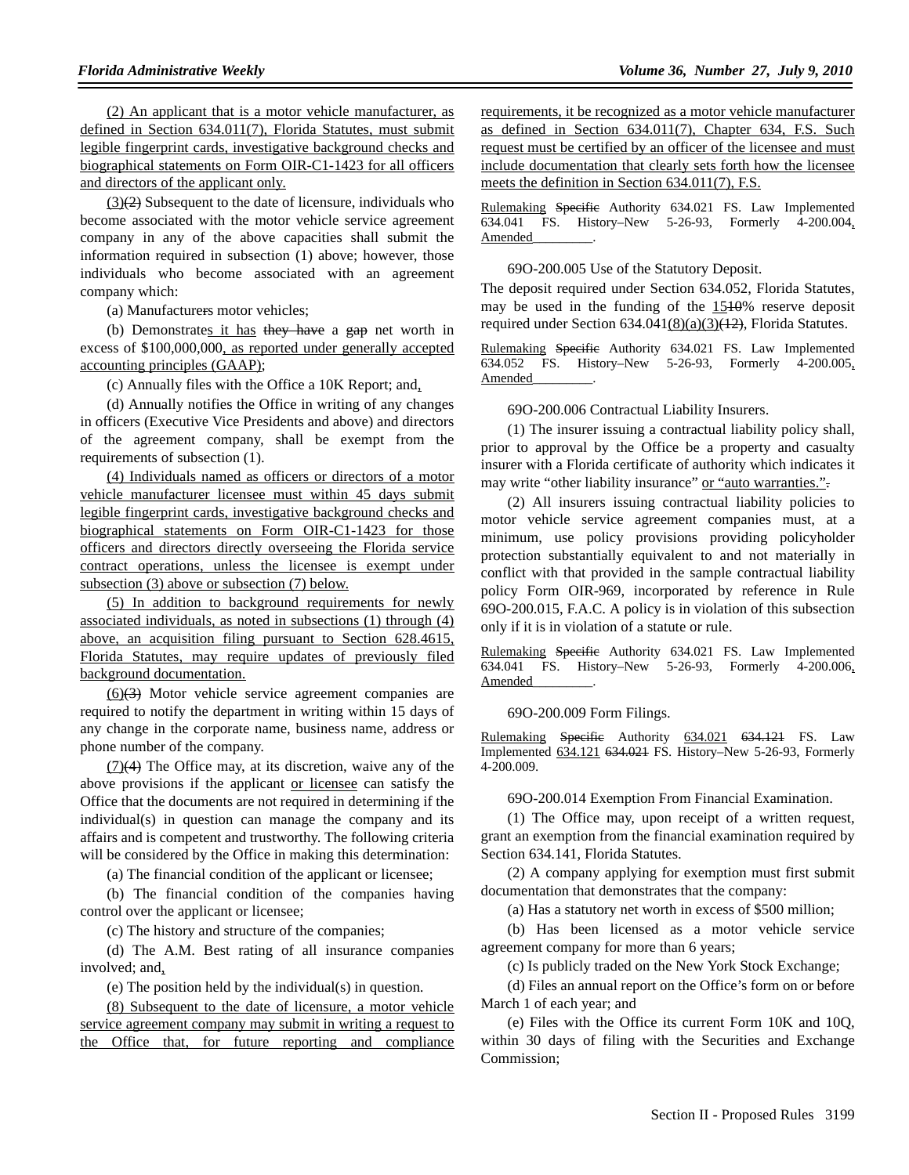(2) An applicant that is a motor vehicle manufacturer, as defined in Section 634.011(7), Florida Statutes, must submit legible fingerprint cards, investigative background checks and biographical statements on Form OIR-C1-1423 for all officers and directors of the applicant only.

 $(3)(2)$  Subsequent to the date of licensure, individuals who become associated with the motor vehicle service agreement company in any of the above capacities shall submit the information required in subsection (1) above; however, those individuals who become associated with an agreement company which:

(a) Manufacturers motor vehicles;

(b) Demonstrates it has they have a gap net worth in excess of \$100,000,000, as reported under generally accepted accounting principles (GAAP);

(c) Annually files with the Office a 10K Report; and,

(d) Annually notifies the Office in writing of any changes in officers (Executive Vice Presidents and above) and directors of the agreement company, shall be exempt from the requirements of subsection (1).

(4) Individuals named as officers or directors of a motor vehicle manufacturer licensee must within 45 days submit legible fingerprint cards, investigative background checks and biographical statements on Form OIR-C1-1423 for those officers and directors directly overseeing the Florida service contract operations, unless the licensee is exempt under subsection (3) above or subsection (7) below.

(5) In addition to background requirements for newly associated individuals, as noted in subsections (1) through (4) above, an acquisition filing pursuant to Section 628.4615, Florida Statutes, may require updates of previously filed background documentation.

(6)(3) Motor vehicle service agreement companies are required to notify the department in writing within 15 days of any change in the corporate name, business name, address or phone number of the company.

 $(7)(4)$  The Office may, at its discretion, waive any of the above provisions if the applicant or licensee can satisfy the Office that the documents are not required in determining if the individual(s) in question can manage the company and its affairs and is competent and trustworthy. The following criteria will be considered by the Office in making this determination:

(a) The financial condition of the applicant or licensee;

(b) The financial condition of the companies having control over the applicant or licensee;

(c) The history and structure of the companies;

(d) The A.M. Best rating of all insurance companies involved; and,

(e) The position held by the individual(s) in question.

(8) Subsequent to the date of licensure, a motor vehicle service agreement company may submit in writing a request to the Office that, for future reporting and compliance

requirements, it be recognized as a motor vehicle manufacturer as defined in Section 634.011(7), Chapter 634, F.S. Such request must be certified by an officer of the licensee and must include documentation that clearly sets forth how the licensee meets the definition in Section 634.011(7), F.S.

Rulemaking Specific Authority 634.021 FS. Law Implemented 634.041 FS. History–New 5-26-93, Formerly 4-200.004, Amended\_\_\_\_\_\_\_\_\_.

69O-200.005 Use of the Statutory Deposit.

The deposit required under Section 634.052, Florida Statutes, may be used in the funding of the 1510% reserve deposit required under Section  $634.041(8)(a)(3)(12)$ , Florida Statutes.

Rulemaking Specific Authority 634.021 FS. Law Implemented 634.052 FS. History–New 5-26-93, Formerly 4-200.005, Amended\_\_\_\_\_\_\_\_\_.

69O-200.006 Contractual Liability Insurers.

(1) The insurer issuing a contractual liability policy shall, prior to approval by the Office be a property and casualty insurer with a Florida certificate of authority which indicates it may write "other liability insurance" or "auto warranties.".

(2) All insurers issuing contractual liability policies to motor vehicle service agreement companies must, at a minimum, use policy provisions providing policyholder protection substantially equivalent to and not materially in conflict with that provided in the sample contractual liability policy Form OIR-969, incorporated by reference in Rule 69O-200.015, F.A.C. A policy is in violation of this subsection only if it is in violation of a statute or rule.

Rulemaking Specific Authority 634.021 FS. Law Implemented 634.041 FS. History–New 5-26-93, Formerly 4-200.006, Amended\_\_\_\_\_\_\_\_\_.

69O-200.009 Form Filings.

Rulemaking Specific Authority 634.021 634.121 FS. Law Implemented 634.121 634.021 FS. History–New 5-26-93, Formerly 4-200.009.

69O-200.014 Exemption From Financial Examination.

(1) The Office may, upon receipt of a written request, grant an exemption from the financial examination required by Section 634.141, Florida Statutes.

(2) A company applying for exemption must first submit documentation that demonstrates that the company:

(a) Has a statutory net worth in excess of \$500 million;

(b) Has been licensed as a motor vehicle service agreement company for more than 6 years;

(c) Is publicly traded on the New York Stock Exchange;

(d) Files an annual report on the Office's form on or before March 1 of each year; and

(e) Files with the Office its current Form 10K and 10Q, within 30 days of filing with the Securities and Exchange Commission;